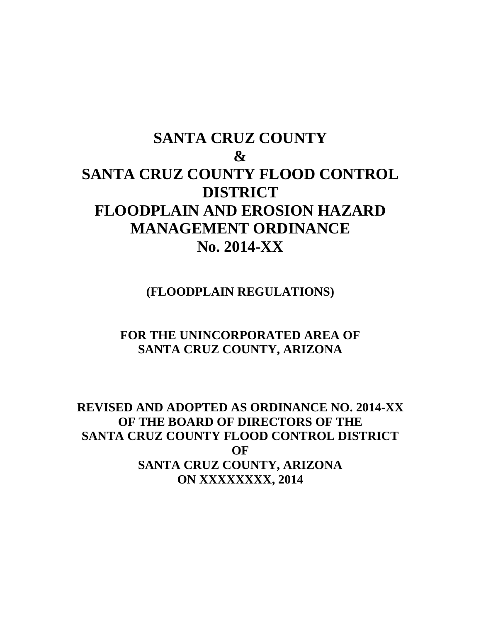# **SANTA CRUZ COUNTY & SANTA CRUZ COUNTY FLOOD CONTROL DISTRICT FLOODPLAIN AND EROSION HAZARD MANAGEMENT ORDINANCE No. 2014-XX**

**(FLOODPLAIN REGULATIONS)**

# **FOR THE UNINCORPORATED AREA OF SANTA CRUZ COUNTY, ARIZONA**

# **REVISED AND ADOPTED AS ORDINANCE NO. 2014-XX OF THE BOARD OF DIRECTORS OF THE SANTA CRUZ COUNTY FLOOD CONTROL DISTRICT OF SANTA CRUZ COUNTY, ARIZONA ON XXXXXXXX, 2014**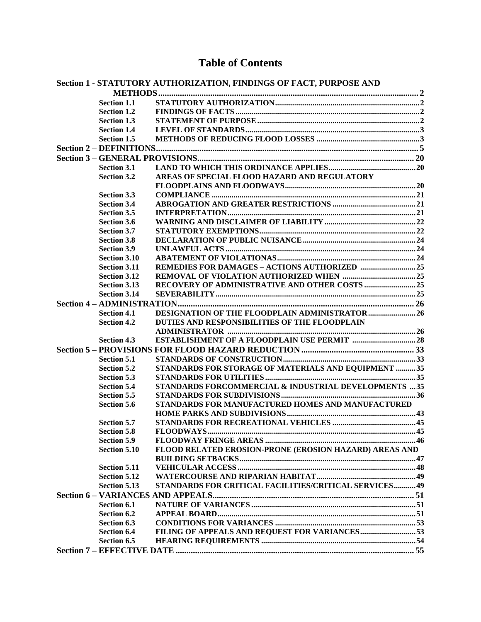# **Table of Contents**

|  |                     | <b>Section 1 - STATUTORY AUTHORIZATION, FINDINGS OF FACT, PURPOSE AND</b> |  |
|--|---------------------|---------------------------------------------------------------------------|--|
|  |                     |                                                                           |  |
|  | <b>Section 1.1</b>  |                                                                           |  |
|  | <b>Section 1.2</b>  |                                                                           |  |
|  | Section 1.3         |                                                                           |  |
|  | <b>Section 1.4</b>  |                                                                           |  |
|  | <b>Section 1.5</b>  |                                                                           |  |
|  |                     |                                                                           |  |
|  |                     |                                                                           |  |
|  | <b>Section 3.1</b>  |                                                                           |  |
|  | <b>Section 3.2</b>  | AREAS OF SPECIAL FLOOD HAZARD AND REGULATORY                              |  |
|  |                     |                                                                           |  |
|  | <b>Section 3.3</b>  |                                                                           |  |
|  | <b>Section 3.4</b>  |                                                                           |  |
|  | <b>Section 3.5</b>  |                                                                           |  |
|  | <b>Section 3.6</b>  |                                                                           |  |
|  | <b>Section 3.7</b>  |                                                                           |  |
|  | <b>Section 3.8</b>  |                                                                           |  |
|  | <b>Section 3.9</b>  |                                                                           |  |
|  | <b>Section 3.10</b> |                                                                           |  |
|  | <b>Section 3.11</b> | REMEDIES FOR DAMAGES - ACTIONS AUTHORIZED 25                              |  |
|  | <b>Section 3.12</b> |                                                                           |  |
|  | <b>Section 3.13</b> | RECOVERY OF ADMINISTRATIVE AND OTHER COSTS 25                             |  |
|  | <b>Section 3.14</b> |                                                                           |  |
|  |                     |                                                                           |  |
|  | <b>Section 4.1</b>  | DESIGNATION OF THE FLOODPLAIN ADMINISTRATOR26                             |  |
|  | <b>Section 4.2</b>  | DUTIES AND RESPONSIBILITIES OF THE FLOODPLAIN                             |  |
|  |                     |                                                                           |  |
|  | <b>Section 4.3</b>  | <b>ESTABLISHMENT OF A FLOODPLAIN USE PERMIT 28</b>                        |  |
|  |                     |                                                                           |  |
|  | <b>Section 5.1</b>  |                                                                           |  |
|  | <b>Section 5.2</b>  | STANDARDS FOR STORAGE OF MATERIALS AND EQUIPMENT 35                       |  |
|  | <b>Section 5.3</b>  |                                                                           |  |
|  | <b>Section 5.4</b>  | STANDARDS FORCOMMERCIAL & INDUSTRIAL DEVELOPMENTS 35                      |  |
|  | Section 5.5         |                                                                           |  |
|  | <b>Section 5.6</b>  | STANDARDS FOR MANUFACTURED HOMES AND MANUFACTURED                         |  |
|  |                     |                                                                           |  |
|  | <b>Section 5.7</b>  |                                                                           |  |
|  | Section 5.8         | <b>FLOODWAYS.</b>                                                         |  |
|  | <b>Section 5.9</b>  |                                                                           |  |
|  | <b>Section 5.10</b> | FLOOD RELATED EROSION-PRONE (EROSION HAZARD) AREAS AND                    |  |
|  |                     |                                                                           |  |
|  | <b>Section 5.11</b> |                                                                           |  |
|  | <b>Section 5.12</b> |                                                                           |  |
|  | <b>Section 5.13</b> | STANDARDS FOR CRITICAL FACILITIES/CRITICAL SERVICES 49                    |  |
|  |                     |                                                                           |  |
|  | Section 6.1         |                                                                           |  |
|  | Section 6.2         |                                                                           |  |
|  | Section 6.3         |                                                                           |  |
|  | <b>Section 6.4</b>  | FILING OF APPEALS AND REQUEST FOR VARIANCES53                             |  |
|  | Section 6.5         |                                                                           |  |
|  |                     |                                                                           |  |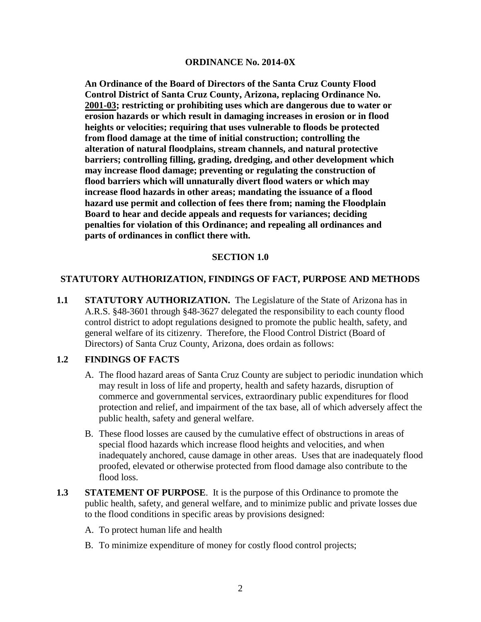#### **ORDINANCE No. 2014-0X**

**An Ordinance of the Board of Directors of the Santa Cruz County Flood Control District of Santa Cruz County, Arizona, replacing Ordinance No. 2001-03; restricting or prohibiting uses which are dangerous due to water or erosion hazards or which result in damaging increases in erosion or in flood heights or velocities; requiring that uses vulnerable to floods be protected from flood damage at the time of initial construction; controlling the alteration of natural floodplains, stream channels, and natural protective barriers; controlling filling, grading, dredging, and other development which may increase flood damage; preventing or regulating the construction of flood barriers which will unnaturally divert flood waters or which may increase flood hazards in other areas; mandating the issuance of a flood hazard use permit and collection of fees there from; naming the Floodplain Board to hear and decide appeals and requests for variances; deciding penalties for violation of this Ordinance; and repealing all ordinances and parts of ordinances in conflict there with.**

#### **SECTION 1.0**

#### **STATUTORY AUTHORIZATION, FINDINGS OF FACT, PURPOSE AND METHODS**

**1.1 STATUTORY AUTHORIZATION.** The Legislature of the State of Arizona has in A.R.S. §48-3601 through §48-3627 delegated the responsibility to each county flood control district to adopt regulations designed to promote the public health, safety, and general welfare of its citizenry. Therefore, the Flood Control District (Board of Directors) of Santa Cruz County, Arizona, does ordain as follows:

#### **1.2 FINDINGS OF FACTS**

- A. The flood hazard areas of Santa Cruz County are subject to periodic inundation which may result in loss of life and property, health and safety hazards, disruption of commerce and governmental services, extraordinary public expenditures for flood protection and relief, and impairment of the tax base, all of which adversely affect the public health, safety and general welfare.
- B. These flood losses are caused by the cumulative effect of obstructions in areas of special flood hazards which increase flood heights and velocities, and when inadequately anchored, cause damage in other areas. Uses that are inadequately flood proofed, elevated or otherwise protected from flood damage also contribute to the flood loss.
- **1.3 STATEMENT OF PURPOSE**. It is the purpose of this Ordinance to promote the public health, safety, and general welfare, and to minimize public and private losses due to the flood conditions in specific areas by provisions designed:
	- A. To protect human life and health
	- B. To minimize expenditure of money for costly flood control projects;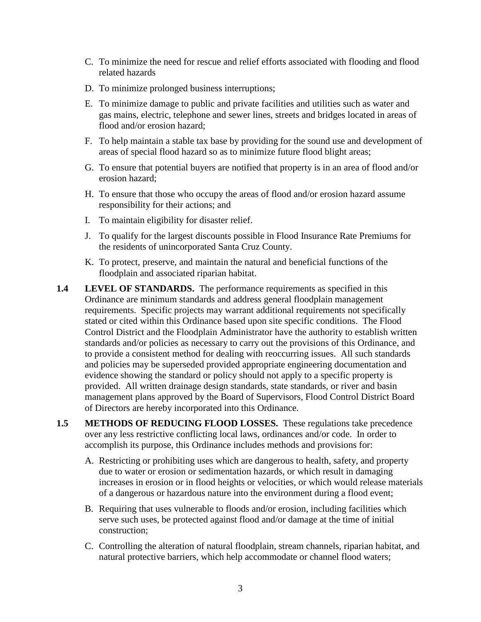- C. To minimize the need for rescue and relief efforts associated with flooding and flood related hazards
- D. To minimize prolonged business interruptions;
- E. To minimize damage to public and private facilities and utilities such as water and gas mains, electric, telephone and sewer lines, streets and bridges located in areas of flood and/or erosion hazard;
- F. To help maintain a stable tax base by providing for the sound use and development of areas of special flood hazard so as to minimize future flood blight areas;
- G. To ensure that potential buyers are notified that property is in an area of flood and/or erosion hazard;
- H. To ensure that those who occupy the areas of flood and/or erosion hazard assume responsibility for their actions; and
- I. To maintain eligibility for disaster relief.
- J. To qualify for the largest discounts possible in Flood Insurance Rate Premiums for the residents of unincorporated Santa Cruz County.
- K. To protect, preserve, and maintain the natural and beneficial functions of the floodplain and associated riparian habitat.
- **1.4 LEVEL OF STANDARDS.** The performance requirements as specified in this Ordinance are minimum standards and address general floodplain management requirements. Specific projects may warrant additional requirements not specifically stated or cited within this Ordinance based upon site specific conditions. The Flood Control District and the Floodplain Administrator have the authority to establish written standards and/or policies as necessary to carry out the provisions of this Ordinance, and to provide a consistent method for dealing with reoccurring issues. All such standards and policies may be superseded provided appropriate engineering documentation and evidence showing the standard or policy should not apply to a specific property is provided. All written drainage design standards, state standards, or river and basin management plans approved by the Board of Supervisors, Flood Control District Board of Directors are hereby incorporated into this Ordinance.
- **1.5 METHODS OF REDUCING FLOOD LOSSES.** These regulations take precedence over any less restrictive conflicting local laws, ordinances and/or code. In order to accomplish its purpose, this Ordinance includes methods and provisions for:
	- A. Restricting or prohibiting uses which are dangerous to health, safety, and property due to water or erosion or sedimentation hazards, or which result in damaging increases in erosion or in flood heights or velocities, or which would release materials of a dangerous or hazardous nature into the environment during a flood event;
	- B. Requiring that uses vulnerable to floods and/or erosion, including facilities which serve such uses, be protected against flood and/or damage at the time of initial construction;
	- C. Controlling the alteration of natural floodplain, stream channels, riparian habitat, and natural protective barriers, which help accommodate or channel flood waters;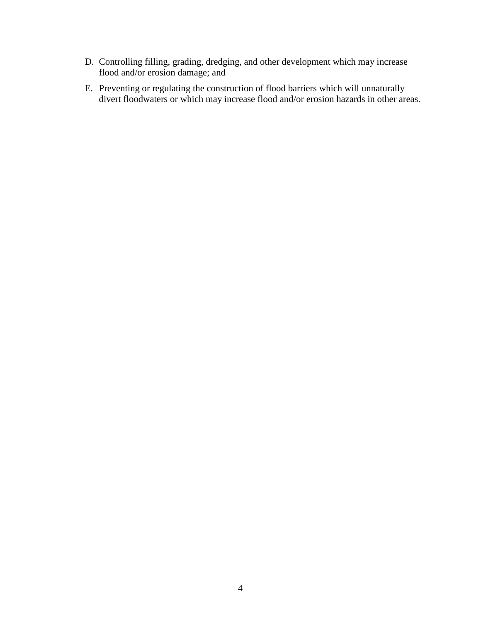- D. Controlling filling, grading, dredging, and other development which may increase flood and/or erosion damage; and
- E. Preventing or regulating the construction of flood barriers which will unnaturally divert floodwaters or which may increase flood and/or erosion hazards in other areas.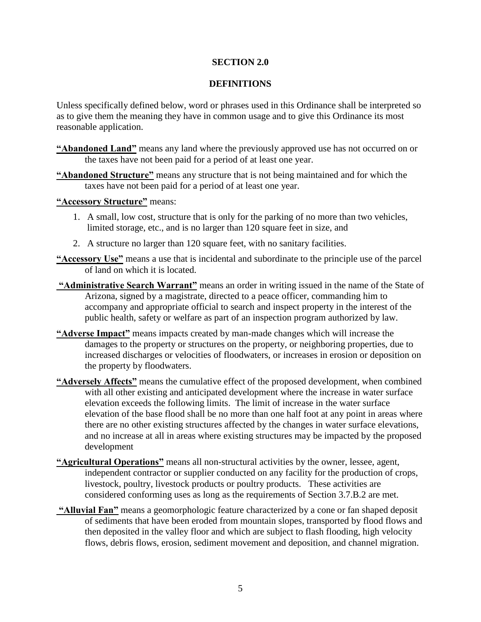#### **SECTION 2.0**

#### **DEFINITIONS**

Unless specifically defined below, word or phrases used in this Ordinance shall be interpreted so as to give them the meaning they have in common usage and to give this Ordinance its most reasonable application.

- **"Abandoned Land"** means any land where the previously approved use has not occurred on or the taxes have not been paid for a period of at least one year.
- **"Abandoned Structure"** means any structure that is not being maintained and for which the taxes have not been paid for a period of at least one year.

**"Accessory Structure"** means:

- 1. A small, low cost, structure that is only for the parking of no more than two vehicles, limited storage, etc., and is no larger than 120 square feet in size, and
- 2. A structure no larger than 120 square feet, with no sanitary facilities.
- **"Accessory Use"** means a use that is incidental and subordinate to the principle use of the parcel of land on which it is located.
- **"Administrative Search Warrant"** means an order in writing issued in the name of the State of Arizona, signed by a magistrate, directed to a peace officer, commanding him to accompany and appropriate official to search and inspect property in the interest of the public health, safety or welfare as part of an inspection program authorized by law.
- **"Adverse Impact"** means impacts created by man-made changes which will increase the damages to the property or structures on the property, or neighboring properties, due to increased discharges or velocities of floodwaters, or increases in erosion or deposition on the property by floodwaters.
- **"Adversely Affects"** means the cumulative effect of the proposed development, when combined with all other existing and anticipated development where the increase in water surface elevation exceeds the following limits. The limit of increase in the water surface elevation of the base flood shall be no more than one half foot at any point in areas where there are no other existing structures affected by the changes in water surface elevations, and no increase at all in areas where existing structures may be impacted by the proposed development
- **"Agricultural Operations"** means all non-structural activities by the owner, lessee, agent, independent contractor or supplier conducted on any facility for the production of crops, livestock, poultry, livestock products or poultry products. These activities are considered conforming uses as long as the requirements of Section 3.7.B.2 are met.
- **"Alluvial Fan"** means a geomorphologic feature characterized by a cone or fan shaped deposit of sediments that have been eroded from mountain slopes, transported by flood flows and then deposited in the valley floor and which are subject to flash flooding, high velocity flows, debris flows, erosion, sediment movement and deposition, and channel migration.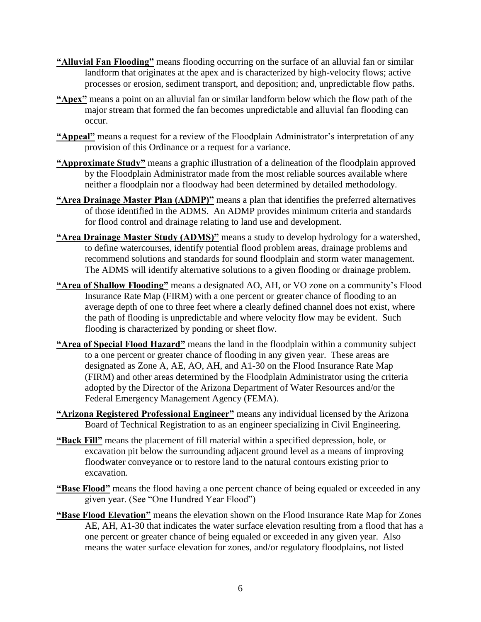- **"Alluvial Fan Flooding"** means flooding occurring on the surface of an alluvial fan or similar landform that originates at the apex and is characterized by high-velocity flows; active processes or erosion, sediment transport, and deposition; and, unpredictable flow paths.
- **"Apex"** means a point on an alluvial fan or similar landform below which the flow path of the major stream that formed the fan becomes unpredictable and alluvial fan flooding can occur.
- **"Appeal"** means a request for a review of the Floodplain Administrator's interpretation of any provision of this Ordinance or a request for a variance.
- **"Approximate Study"** means a graphic illustration of a delineation of the floodplain approved by the Floodplain Administrator made from the most reliable sources available where neither a floodplain nor a floodway had been determined by detailed methodology.
- **"Area Drainage Master Plan (ADMP)"** means a plan that identifies the preferred alternatives of those identified in the ADMS. An ADMP provides minimum criteria and standards for flood control and drainage relating to land use and development.
- **"Area Drainage Master Study (ADMS)"** means a study to develop hydrology for a watershed, to define watercourses, identify potential flood problem areas, drainage problems and recommend solutions and standards for sound floodplain and storm water management. The ADMS will identify alternative solutions to a given flooding or drainage problem.
- **"Area of Shallow Flooding"** means a designated AO, AH, or VO zone on a community's Flood Insurance Rate Map (FIRM) with a one percent or greater chance of flooding to an average depth of one to three feet where a clearly defined channel does not exist, where the path of flooding is unpredictable and where velocity flow may be evident. Such flooding is characterized by ponding or sheet flow.
- **"Area of Special Flood Hazard"** means the land in the floodplain within a community subject to a one percent or greater chance of flooding in any given year. These areas are designated as Zone A, AE, AO, AH, and A1-30 on the Flood Insurance Rate Map (FIRM) and other areas determined by the Floodplain Administrator using the criteria adopted by the Director of the Arizona Department of Water Resources and/or the Federal Emergency Management Agency (FEMA).
- **"Arizona Registered Professional Engineer"** means any individual licensed by the Arizona Board of Technical Registration to as an engineer specializing in Civil Engineering.
- **"Back Fill"** means the placement of fill material within a specified depression, hole, or excavation pit below the surrounding adjacent ground level as a means of improving floodwater conveyance or to restore land to the natural contours existing prior to excavation.
- **"Base Flood"** means the flood having a one percent chance of being equaled or exceeded in any given year. (See "One Hundred Year Flood")
- **"Base Flood Elevation"** means the elevation shown on the Flood Insurance Rate Map for Zones AE, AH, A1-30 that indicates the water surface elevation resulting from a flood that has a one percent or greater chance of being equaled or exceeded in any given year. Also means the water surface elevation for zones, and/or regulatory floodplains, not listed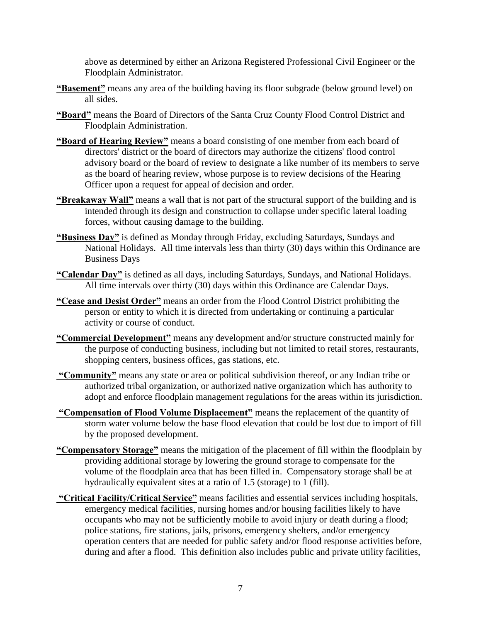above as determined by either an Arizona Registered Professional Civil Engineer or the Floodplain Administrator.

- **"Basement"** means any area of the building having its floor subgrade (below ground level) on all sides.
- **"Board"** means the Board of Directors of the Santa Cruz County Flood Control District and Floodplain Administration.
- **"Board of Hearing Review"** means a board consisting of one member from each board of directors' district or the board of directors may authorize the citizens' flood control advisory board or the board of review to designate a like number of its members to serve as the board of hearing review, whose purpose is to review decisions of the Hearing Officer upon a request for appeal of decision and order.
- **"Breakaway Wall"** means a wall that is not part of the structural support of the building and is intended through its design and construction to collapse under specific lateral loading forces, without causing damage to the building.
- **"Business Day"** is defined as Monday through Friday, excluding Saturdays, Sundays and National Holidays. All time intervals less than thirty (30) days within this Ordinance are Business Days
- **"Calendar Day"** is defined as all days, including Saturdays, Sundays, and National Holidays. All time intervals over thirty (30) days within this Ordinance are Calendar Days.
- **"Cease and Desist Order"** means an order from the Flood Control District prohibiting the person or entity to which it is directed from undertaking or continuing a particular activity or course of conduct.
- **"Commercial Development"** means any development and/or structure constructed mainly for the purpose of conducting business, including but not limited to retail stores, restaurants, shopping centers, business offices, gas stations, etc.
- **"Community"** means any state or area or political subdivision thereof, or any Indian tribe or authorized tribal organization, or authorized native organization which has authority to adopt and enforce floodplain management regulations for the areas within its jurisdiction.
- **"Compensation of Flood Volume Displacement"** means the replacement of the quantity of storm water volume below the base flood elevation that could be lost due to import of fill by the proposed development.
- **"Compensatory Storage"** means the mitigation of the placement of fill within the floodplain by providing additional storage by lowering the ground storage to compensate for the volume of the floodplain area that has been filled in. Compensatory storage shall be at hydraulically equivalent sites at a ratio of 1.5 (storage) to 1 (fill).
- **"Critical Facility/Critical Service"** means facilities and essential services including hospitals, emergency medical facilities, nursing homes and/or housing facilities likely to have occupants who may not be sufficiently mobile to avoid injury or death during a flood; police stations, fire stations, jails, prisons, emergency shelters, and/or emergency operation centers that are needed for public safety and/or flood response activities before, during and after a flood. This definition also includes public and private utility facilities,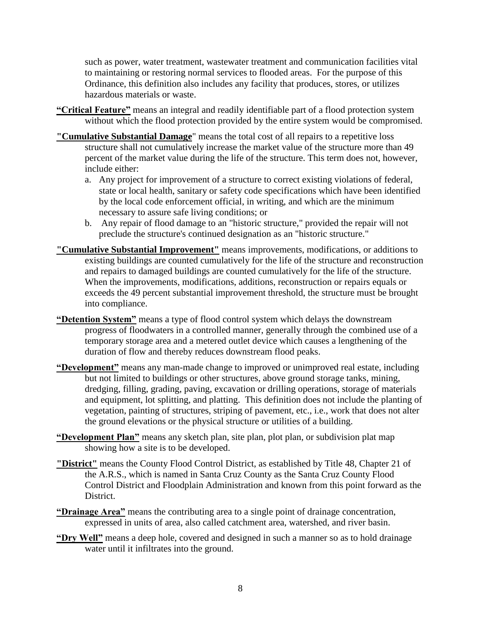such as power, water treatment, wastewater treatment and communication facilities vital to maintaining or restoring normal services to flooded areas. For the purpose of this Ordinance, this definition also includes any facility that produces, stores, or utilizes hazardous materials or waste.

- **"Critical Feature"** means an integral and readily identifiable part of a flood protection system without which the flood protection provided by the entire system would be compromised.
- **"Cumulative Substantial Damage**" means the total cost of all repairs to a repetitive loss structure shall not cumulatively increase the market value of the structure more than 49 percent of the market value during the life of the structure. This term does not, however, include either:
	- a. Any project for improvement of a structure to correct existing violations of federal, state or local health, sanitary or safety code specifications which have been identified by the local code enforcement official, in writing, and which are the minimum necessary to assure safe living conditions; or
	- b. Any repair of flood damage to an "historic structure," provided the repair will not preclude the structure's continued designation as an "historic structure."
- **"Cumulative Substantial Improvement"** means improvements, modifications, or additions to existing buildings are counted cumulatively for the life of the structure and reconstruction and repairs to damaged buildings are counted cumulatively for the life of the structure. When the improvements, modifications, additions, reconstruction or repairs equals or exceeds the 49 percent substantial improvement threshold, the structure must be brought into compliance.
- **"Detention System"** means a type of flood control system which delays the downstream progress of floodwaters in a controlled manner, generally through the combined use of a temporary storage area and a metered outlet device which causes a lengthening of the duration of flow and thereby reduces downstream flood peaks.
- **"Development"** means any man-made change to improved or unimproved real estate, including but not limited to buildings or other structures, above ground storage tanks, mining, dredging, filling, grading, paving, excavation or drilling operations, storage of materials and equipment, lot splitting, and platting. This definition does not include the planting of vegetation, painting of structures, striping of pavement, etc., i.e., work that does not alter the ground elevations or the physical structure or utilities of a building.
- **"Development Plan"** means any sketch plan, site plan, plot plan, or subdivision plat map showing how a site is to be developed.
- **"District"** means the County Flood Control District, as established by Title 48, Chapter 21 of the A.R.S., which is named in Santa Cruz County as the Santa Cruz County Flood Control District and Floodplain Administration and known from this point forward as the District.
- **"Drainage Area"** means the contributing area to a single point of drainage concentration, expressed in units of area, also called catchment area, watershed, and river basin.
- **"Dry Well"** means a deep hole, covered and designed in such a manner so as to hold drainage water until it infiltrates into the ground.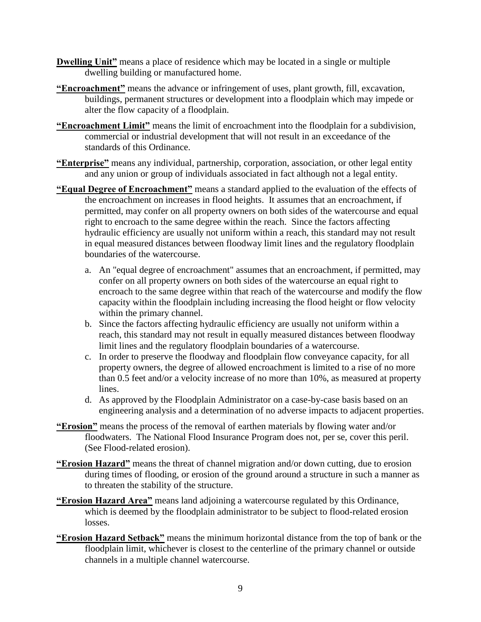- **Dwelling Unit"** means a place of residence which may be located in a single or multiple dwelling building or manufactured home.
- **"Encroachment"** means the advance or infringement of uses, plant growth, fill, excavation, buildings, permanent structures or development into a floodplain which may impede or alter the flow capacity of a floodplain.
- **"Encroachment Limit"** means the limit of encroachment into the floodplain for a subdivision, commercial or industrial development that will not result in an exceedance of the standards of this Ordinance.
- **"Enterprise"** means any individual, partnership, corporation, association, or other legal entity and any union or group of individuals associated in fact although not a legal entity.
- **"Equal Degree of Encroachment"** means a standard applied to the evaluation of the effects of the encroachment on increases in flood heights. It assumes that an encroachment, if permitted, may confer on all property owners on both sides of the watercourse and equal right to encroach to the same degree within the reach. Since the factors affecting hydraulic efficiency are usually not uniform within a reach, this standard may not result in equal measured distances between floodway limit lines and the regulatory floodplain boundaries of the watercourse.
	- a. An "equal degree of encroachment" assumes that an encroachment, if permitted, may confer on all property owners on both sides of the watercourse an equal right to encroach to the same degree within that reach of the watercourse and modify the flow capacity within the floodplain including increasing the flood height or flow velocity within the primary channel.
	- b. Since the factors affecting hydraulic efficiency are usually not uniform within a reach, this standard may not result in equally measured distances between floodway limit lines and the regulatory floodplain boundaries of a watercourse.
	- c. In order to preserve the floodway and floodplain flow conveyance capacity, for all property owners, the degree of allowed encroachment is limited to a rise of no more than 0.5 feet and/or a velocity increase of no more than 10%, as measured at property lines.
	- d. As approved by the Floodplain Administrator on a case-by-case basis based on an engineering analysis and a determination of no adverse impacts to adjacent properties.
- **"Erosion"** means the process of the removal of earthen materials by flowing water and/or floodwaters. The National Flood Insurance Program does not, per se, cover this peril. (See Flood-related erosion).
- **"Erosion Hazard"** means the threat of channel migration and/or down cutting, due to erosion during times of flooding, or erosion of the ground around a structure in such a manner as to threaten the stability of the structure.
- **"Erosion Hazard Area"** means land adjoining a watercourse regulated by this Ordinance, which is deemed by the floodplain administrator to be subject to flood-related erosion losses.
- **"Erosion Hazard Setback"** means the minimum horizontal distance from the top of bank or the floodplain limit, whichever is closest to the centerline of the primary channel or outside channels in a multiple channel watercourse.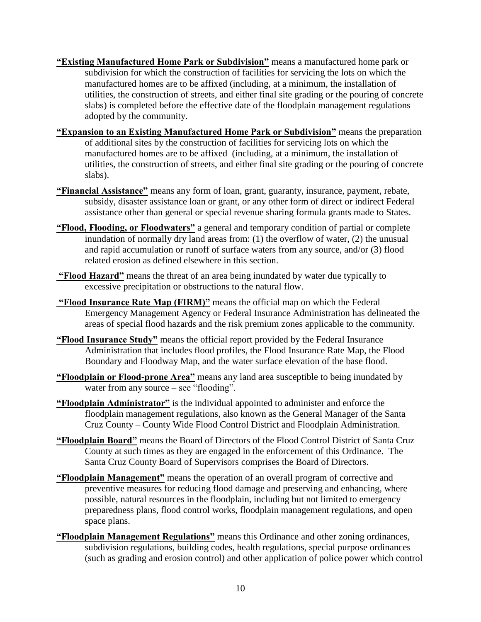- **"Existing Manufactured Home Park or Subdivision"** means a manufactured home park or subdivision for which the construction of facilities for servicing the lots on which the manufactured homes are to be affixed (including, at a minimum, the installation of utilities, the construction of streets, and either final site grading or the pouring of concrete slabs) is completed before the effective date of the floodplain management regulations adopted by the community.
- **"Expansion to an Existing Manufactured Home Park or Subdivision"** means the preparation of additional sites by the construction of facilities for servicing lots on which the manufactured homes are to be affixed (including, at a minimum, the installation of utilities, the construction of streets, and either final site grading or the pouring of concrete slabs).
- **"Financial Assistance"** means any form of loan, grant, guaranty, insurance, payment, rebate, subsidy, disaster assistance loan or grant, or any other form of direct or indirect Federal assistance other than general or special revenue sharing formula grants made to States.
- **"Flood, Flooding, or Floodwaters"** a general and temporary condition of partial or complete inundation of normally dry land areas from: (1) the overflow of water, (2) the unusual and rapid accumulation or runoff of surface waters from any source, and/or (3) flood related erosion as defined elsewhere in this section.
- **"Flood Hazard"** means the threat of an area being inundated by water due typically to excessive precipitation or obstructions to the natural flow.
- **"Flood Insurance Rate Map (FIRM)"** means the official map on which the Federal Emergency Management Agency or Federal Insurance Administration has delineated the areas of special flood hazards and the risk premium zones applicable to the community.
- **"Flood Insurance Study"** means the official report provided by the Federal Insurance Administration that includes flood profiles, the Flood Insurance Rate Map, the Flood Boundary and Floodway Map, and the water surface elevation of the base flood.
- **"Floodplain or Flood-prone Area"** means any land area susceptible to being inundated by water from any source – see "flooding".
- **"Floodplain Administrator"** is the individual appointed to administer and enforce the floodplain management regulations, also known as the General Manager of the Santa Cruz County – County Wide Flood Control District and Floodplain Administration.
- **"Floodplain Board"** means the Board of Directors of the Flood Control District of Santa Cruz County at such times as they are engaged in the enforcement of this Ordinance. The Santa Cruz County Board of Supervisors comprises the Board of Directors.
- **"Floodplain Management"** means the operation of an overall program of corrective and preventive measures for reducing flood damage and preserving and enhancing, where possible, natural resources in the floodplain, including but not limited to emergency preparedness plans, flood control works, floodplain management regulations, and open space plans.
- **"Floodplain Management Regulations"** means this Ordinance and other zoning ordinances, subdivision regulations, building codes, health regulations, special purpose ordinances (such as grading and erosion control) and other application of police power which control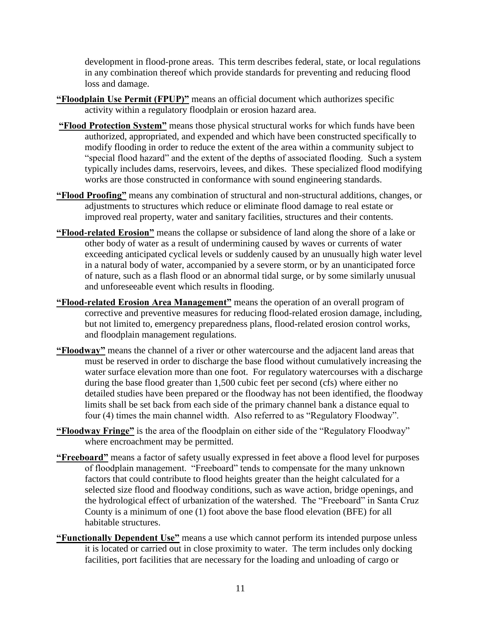development in flood-prone areas. This term describes federal, state, or local regulations in any combination thereof which provide standards for preventing and reducing flood loss and damage.

- **"Floodplain Use Permit (FPUP)"** means an official document which authorizes specific activity within a regulatory floodplain or erosion hazard area.
- **"Flood Protection System"** means those physical structural works for which funds have been authorized, appropriated, and expended and which have been constructed specifically to modify flooding in order to reduce the extent of the area within a community subject to "special flood hazard" and the extent of the depths of associated flooding. Such a system typically includes dams, reservoirs, levees, and dikes. These specialized flood modifying works are those constructed in conformance with sound engineering standards.
- **"Flood Proofing"** means any combination of structural and non-structural additions, changes, or adjustments to structures which reduce or eliminate flood damage to real estate or improved real property, water and sanitary facilities, structures and their contents.
- **"Flood-related Erosion"** means the collapse or subsidence of land along the shore of a lake or other body of water as a result of undermining caused by waves or currents of water exceeding anticipated cyclical levels or suddenly caused by an unusually high water level in a natural body of water, accompanied by a severe storm, or by an unanticipated force of nature, such as a flash flood or an abnormal tidal surge, or by some similarly unusual and unforeseeable event which results in flooding.
- **"Flood-related Erosion Area Management"** means the operation of an overall program of corrective and preventive measures for reducing flood-related erosion damage, including, but not limited to, emergency preparedness plans, flood-related erosion control works, and floodplain management regulations.
- **"Floodway"** means the channel of a river or other watercourse and the adjacent land areas that must be reserved in order to discharge the base flood without cumulatively increasing the water surface elevation more than one foot. For regulatory watercourses with a discharge during the base flood greater than 1,500 cubic feet per second (cfs) where either no detailed studies have been prepared or the floodway has not been identified, the floodway limits shall be set back from each side of the primary channel bank a distance equal to four (4) times the main channel width. Also referred to as "Regulatory Floodway".
- **"Floodway Fringe"** is the area of the floodplain on either side of the "Regulatory Floodway" where encroachment may be permitted.
- **"Freeboard"** means a factor of safety usually expressed in feet above a flood level for purposes of floodplain management. "Freeboard" tends to compensate for the many unknown factors that could contribute to flood heights greater than the height calculated for a selected size flood and floodway conditions, such as wave action, bridge openings, and the hydrological effect of urbanization of the watershed. The "Freeboard" in Santa Cruz County is a minimum of one (1) foot above the base flood elevation (BFE) for all habitable structures.
- **"Functionally Dependent Use"** means a use which cannot perform its intended purpose unless it is located or carried out in close proximity to water. The term includes only docking facilities, port facilities that are necessary for the loading and unloading of cargo or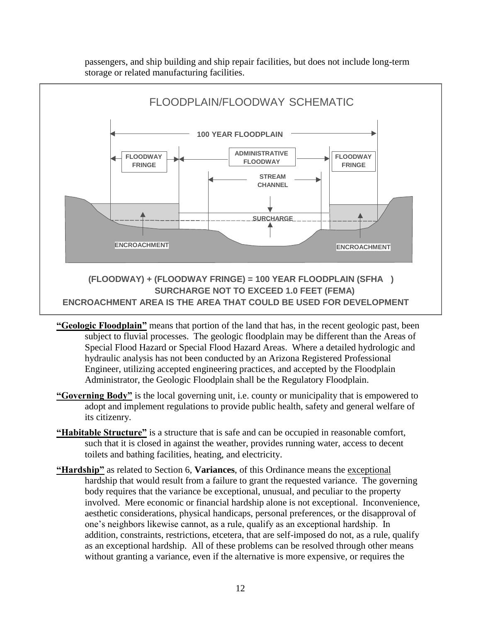passengers, and ship building and ship repair facilities, but does not include long-term storage or related manufacturing facilities.



- **"Geologic Floodplain"** means that portion of the land that has, in the recent geologic past, been subject to fluvial processes. The geologic floodplain may be different than the Areas of Special Flood Hazard or Special Flood Hazard Areas. Where a detailed hydrologic and hydraulic analysis has not been conducted by an Arizona Registered Professional Engineer, utilizing accepted engineering practices, and accepted by the Floodplain Administrator, the Geologic Floodplain shall be the Regulatory Floodplain.
- **"Governing Body"** is the local governing unit, i.e. county or municipality that is empowered to adopt and implement regulations to provide public health, safety and general welfare of its citizenry.
- **"Habitable Structure"** is a structure that is safe and can be occupied in reasonable comfort, such that it is closed in against the weather, provides running water, access to decent toilets and bathing facilities, heating, and electricity.
- **"Hardship"** as related to Section 6, **Variances**, of this Ordinance means the exceptional hardship that would result from a failure to grant the requested variance. The governing body requires that the variance be exceptional, unusual, and peculiar to the property involved. Mere economic or financial hardship alone is not exceptional. Inconvenience, aesthetic considerations, physical handicaps, personal preferences, or the disapproval of one's neighbors likewise cannot, as a rule, qualify as an exceptional hardship. In addition, constraints, restrictions, etcetera, that are self-imposed do not, as a rule, qualify as an exceptional hardship. All of these problems can be resolved through other means without granting a variance, even if the alternative is more expensive, or requires the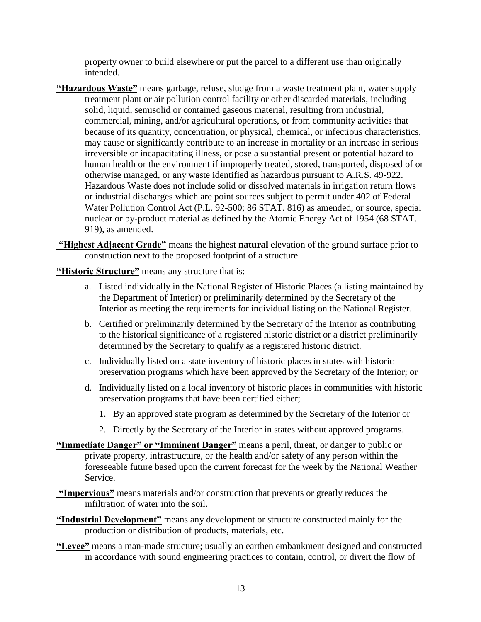property owner to build elsewhere or put the parcel to a different use than originally intended.

- **"Hazardous Waste"** means garbage, refuse, sludge from a waste treatment plant, water supply treatment plant or air pollution control facility or other discarded materials, including solid, liquid, semisolid or contained gaseous material, resulting from industrial, commercial, mining, and/or agricultural operations, or from community activities that because of its quantity, concentration, or physical, chemical, or infectious characteristics, may cause or significantly contribute to an increase in mortality or an increase in serious irreversible or incapacitating illness, or pose a substantial present or potential hazard to human health or the environment if improperly treated, stored, transported, disposed of or otherwise managed, or any waste identified as hazardous pursuant to A.R.S. 49-922. Hazardous Waste does not include solid or dissolved materials in irrigation return flows or industrial discharges which are point sources subject to permit under 402 of Federal Water Pollution Control Act (P.L. 92-500; 86 STAT. 816) as amended, or source, special nuclear or by-product material as defined by the Atomic Energy Act of 1954 (68 STAT. 919), as amended.
- **"Highest Adjacent Grade"** means the highest **natural** elevation of the ground surface prior to construction next to the proposed footprint of a structure.

**"Historic Structure"** means any structure that is:

- a. Listed individually in the National Register of Historic Places (a listing maintained by the Department of Interior) or preliminarily determined by the Secretary of the Interior as meeting the requirements for individual listing on the National Register.
- b. Certified or preliminarily determined by the Secretary of the Interior as contributing to the historical significance of a registered historic district or a district preliminarily determined by the Secretary to qualify as a registered historic district.
- c. Individually listed on a state inventory of historic places in states with historic preservation programs which have been approved by the Secretary of the Interior; or
- d. Individually listed on a local inventory of historic places in communities with historic preservation programs that have been certified either;
	- 1. By an approved state program as determined by the Secretary of the Interior or
	- 2. Directly by the Secretary of the Interior in states without approved programs.
- **"Immediate Danger" or "Imminent Danger"** means a peril, threat, or danger to public or private property, infrastructure, or the health and/or safety of any person within the foreseeable future based upon the current forecast for the week by the National Weather Service.
- **"Impervious"** means materials and/or construction that prevents or greatly reduces the infiltration of water into the soil.
- **"Industrial Development"** means any development or structure constructed mainly for the production or distribution of products, materials, etc.
- **"Levee"** means a man-made structure; usually an earthen embankment designed and constructed in accordance with sound engineering practices to contain, control, or divert the flow of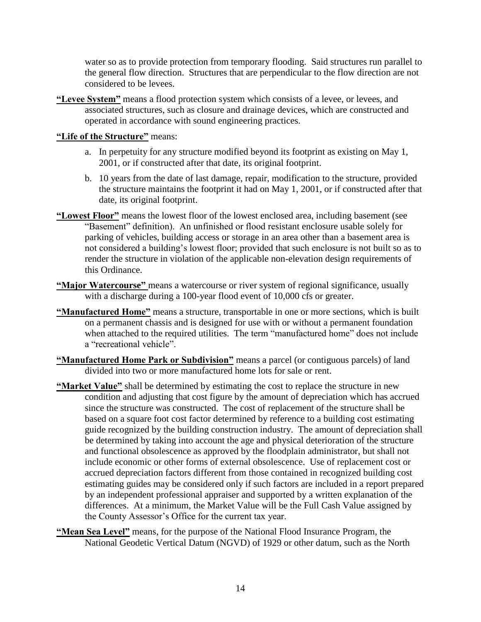water so as to provide protection from temporary flooding. Said structures run parallel to the general flow direction. Structures that are perpendicular to the flow direction are not considered to be levees.

**"Levee System"** means a flood protection system which consists of a levee, or levees, and associated structures, such as closure and drainage devices, which are constructed and operated in accordance with sound engineering practices.

#### **"Life of the Structure"** means:

- a. In perpetuity for any structure modified beyond its footprint as existing on May 1, 2001, or if constructed after that date, its original footprint.
- b. 10 years from the date of last damage, repair, modification to the structure, provided the structure maintains the footprint it had on May 1, 2001, or if constructed after that date, its original footprint.
- **"Lowest Floor"** means the lowest floor of the lowest enclosed area, including basement (see "Basement" definition). An unfinished or flood resistant enclosure usable solely for parking of vehicles, building access or storage in an area other than a basement area is not considered a building's lowest floor; provided that such enclosure is not built so as to render the structure in violation of the applicable non-elevation design requirements of this Ordinance.
- **"Major Watercourse"** means a watercourse or river system of regional significance, usually with a discharge during a 100-year flood event of 10,000 cfs or greater.
- **"Manufactured Home"** means a structure, transportable in one or more sections, which is built on a permanent chassis and is designed for use with or without a permanent foundation when attached to the required utilities. The term "manufactured home" does not include a "recreational vehicle".
- **"Manufactured Home Park or Subdivision"** means a parcel (or contiguous parcels) of land divided into two or more manufactured home lots for sale or rent.
- **"Market Value"** shall be determined by estimating the cost to replace the structure in new condition and adjusting that cost figure by the amount of depreciation which has accrued since the structure was constructed. The cost of replacement of the structure shall be based on a square foot cost factor determined by reference to a building cost estimating guide recognized by the building construction industry. The amount of depreciation shall be determined by taking into account the age and physical deterioration of the structure and functional obsolescence as approved by the floodplain administrator, but shall not include economic or other forms of external obsolescence. Use of replacement cost or accrued depreciation factors different from those contained in recognized building cost estimating guides may be considered only if such factors are included in a report prepared by an independent professional appraiser and supported by a written explanation of the differences. At a minimum, the Market Value will be the Full Cash Value assigned by the County Assessor's Office for the current tax year.
- **"Mean Sea Level"** means, for the purpose of the National Flood Insurance Program, the National Geodetic Vertical Datum (NGVD) of 1929 or other datum, such as the North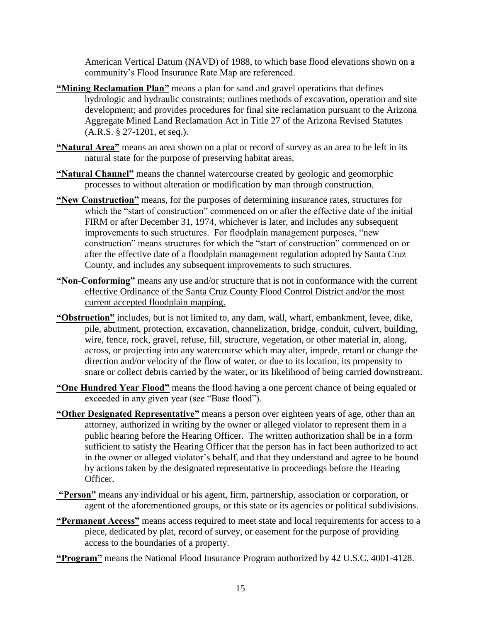American Vertical Datum (NAVD) of 1988, to which base flood elevations shown on a community's Flood Insurance Rate Map are referenced.

- **"Mining Reclamation Plan"** means a plan for sand and gravel operations that defines hydrologic and hydraulic constraints; outlines methods of excavation, operation and site development; and provides procedures for final site reclamation pursuant to the Arizona Aggregate Mined Land Reclamation Act in Title 27 of the Arizona Revised Statutes (A.R.S. § 27-1201, et seq.).
- **"Natural Area"** means an area shown on a plat or record of survey as an area to be left in its natural state for the purpose of preserving habitat areas.
- **"Natural Channel"** means the channel watercourse created by geologic and geomorphic processes to without alteration or modification by man through construction.
- **"New Construction"** means, for the purposes of determining insurance rates, structures for which the "start of construction" commenced on or after the effective date of the initial FIRM or after December 31, 1974, whichever is later, and includes any subsequent improvements to such structures. For floodplain management purposes, "new construction" means structures for which the "start of construction" commenced on or after the effective date of a floodplain management regulation adopted by Santa Cruz County, and includes any subsequent improvements to such structures.
- **"Non-Conforming"** means any use and/or structure that is not in conformance with the current effective Ordinance of the Santa Cruz County Flood Control District and/or the most current accepted floodplain mapping.
- **"Obstruction"** includes, but is not limited to, any dam, wall, wharf, embankment, levee, dike, pile, abutment, protection, excavation, channelization, bridge, conduit, culvert, building, wire, fence, rock, gravel, refuse, fill, structure, vegetation, or other material in, along, across, or projecting into any watercourse which may alter, impede, retard or change the direction and/or velocity of the flow of water, or due to its location, its propensity to snare or collect debris carried by the water, or its likelihood of being carried downstream.
- **"One Hundred Year Flood"** means the flood having a one percent chance of being equaled or exceeded in any given year (see "Base flood").
- **"Other Designated Representative"** means a person over eighteen years of age, other than an attorney, authorized in writing by the owner or alleged violator to represent them in a public hearing before the Hearing Officer. The written authorization shall be in a form sufficient to satisfy the Hearing Officer that the person has in fact been authorized to act in the owner or alleged violator's behalf, and that they understand and agree to be bound by actions taken by the designated representative in proceedings before the Hearing Officer.
- **"Person"** means any individual or his agent, firm, partnership, association or corporation, or agent of the aforementioned groups, or this state or its agencies or political subdivisions.
- **"Permanent Access"** means access required to meet state and local requirements for access to a piece, dedicated by plat, record of survey, or easement for the purpose of providing access to the boundaries of a property.
- **"Program"** means the National Flood Insurance Program authorized by 42 U.S.C. 4001-4128.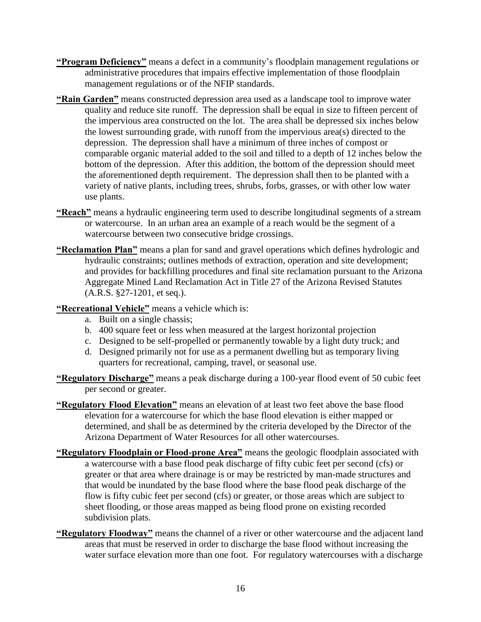- **"Program Deficiency"** means a defect in a community's floodplain management regulations or administrative procedures that impairs effective implementation of those floodplain management regulations or of the NFIP standards.
- **"Rain Garden"** means constructed depression area used as a landscape tool to improve water quality and reduce site runoff. The depression shall be equal in size to fifteen percent of the impervious area constructed on the lot. The area shall be depressed six inches below the lowest surrounding grade, with runoff from the impervious area(s) directed to the depression. The depression shall have a minimum of three inches of compost or comparable organic material added to the soil and tilled to a depth of 12 inches below the bottom of the depression. After this addition, the bottom of the depression should meet the aforementioned depth requirement. The depression shall then to be planted with a variety of native plants, including trees, shrubs, forbs, grasses, or with other low water use plants.
- **"Reach"** means a hydraulic engineering term used to describe longitudinal segments of a stream or watercourse. In an urban area an example of a reach would be the segment of a watercourse between two consecutive bridge crossings.
- **"Reclamation Plan"** means a plan for sand and gravel operations which defines hydrologic and hydraulic constraints; outlines methods of extraction, operation and site development; and provides for backfilling procedures and final site reclamation pursuant to the Arizona Aggregate Mined Land Reclamation Act in Title 27 of the Arizona Revised Statutes (A.R.S. §27-1201, et seq.).

#### **"Recreational Vehicle"** means a vehicle which is:

- a. Built on a single chassis;
- b. 400 square feet or less when measured at the largest horizontal projection
- c. Designed to be self-propelled or permanently towable by a light duty truck; and
- d. Designed primarily not for use as a permanent dwelling but as temporary living quarters for recreational, camping, travel, or seasonal use.
- **"Regulatory Discharge"** means a peak discharge during a 100-year flood event of 50 cubic feet per second or greater.
- **"Regulatory Flood Elevation"** means an elevation of at least two feet above the base flood elevation for a watercourse for which the base flood elevation is either mapped or determined, and shall be as determined by the criteria developed by the Director of the Arizona Department of Water Resources for all other watercourses.
- **"Regulatory Floodplain or Flood-prone Area"** means the geologic floodplain associated with a watercourse with a base flood peak discharge of fifty cubic feet per second (cfs) or greater or that area where drainage is or may be restricted by man-made structures and that would be inundated by the base flood where the base flood peak discharge of the flow is fifty cubic feet per second (cfs) or greater, or those areas which are subject to sheet flooding, or those areas mapped as being flood prone on existing recorded subdivision plats.
- **"Regulatory Floodway"** means the channel of a river or other watercourse and the adjacent land areas that must be reserved in order to discharge the base flood without increasing the water surface elevation more than one foot. For regulatory watercourses with a discharge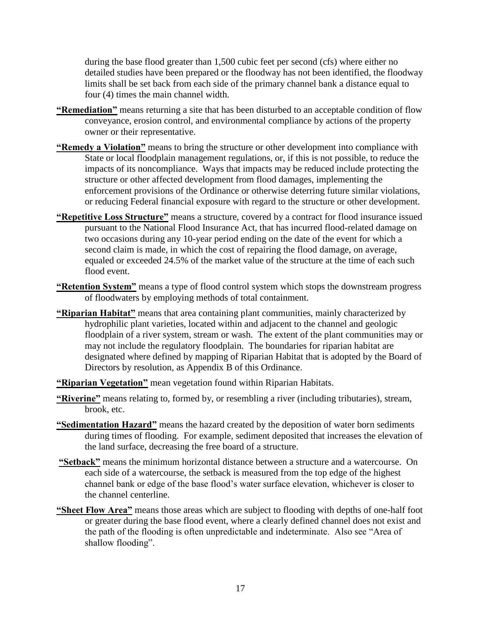during the base flood greater than 1,500 cubic feet per second (cfs) where either no detailed studies have been prepared or the floodway has not been identified, the floodway limits shall be set back from each side of the primary channel bank a distance equal to four (4) times the main channel width.

- **"Remediation"** means returning a site that has been disturbed to an acceptable condition of flow conveyance, erosion control, and environmental compliance by actions of the property owner or their representative.
- **"Remedy a Violation"** means to bring the structure or other development into compliance with State or local floodplain management regulations, or, if this is not possible, to reduce the impacts of its noncompliance. Ways that impacts may be reduced include protecting the structure or other affected development from flood damages, implementing the enforcement provisions of the Ordinance or otherwise deterring future similar violations, or reducing Federal financial exposure with regard to the structure or other development.
- **"Repetitive Loss Structure"** means a structure, covered by a contract for flood insurance issued pursuant to the National Flood Insurance Act, that has incurred flood-related damage on two occasions during any 10-year period ending on the date of the event for which a second claim is made, in which the cost of repairing the flood damage, on average, equaled or exceeded 24.5% of the market value of the structure at the time of each such flood event.
- **"Retention System"** means a type of flood control system which stops the downstream progress of floodwaters by employing methods of total containment.
- **"Riparian Habitat"** means that area containing plant communities, mainly characterized by hydrophilic plant varieties, located within and adjacent to the channel and geologic floodplain of a river system, stream or wash. The extent of the plant communities may or may not include the regulatory floodplain. The boundaries for riparian habitat are designated where defined by mapping of Riparian Habitat that is adopted by the Board of Directors by resolution, as Appendix B of this Ordinance.
- **"Riparian Vegetation"** mean vegetation found within Riparian Habitats.
- **"Riverine"** means relating to, formed by, or resembling a river (including tributaries), stream, brook, etc.
- **"Sedimentation Hazard"** means the hazard created by the deposition of water born sediments during times of flooding. For example, sediment deposited that increases the elevation of the land surface, decreasing the free board of a structure.
- **"Setback"** means the minimum horizontal distance between a structure and a watercourse. On each side of a watercourse, the setback is measured from the top edge of the highest channel bank or edge of the base flood's water surface elevation, whichever is closer to the channel centerline.
- **"Sheet Flow Area"** means those areas which are subject to flooding with depths of one-half foot or greater during the base flood event, where a clearly defined channel does not exist and the path of the flooding is often unpredictable and indeterminate. Also see "Area of shallow flooding".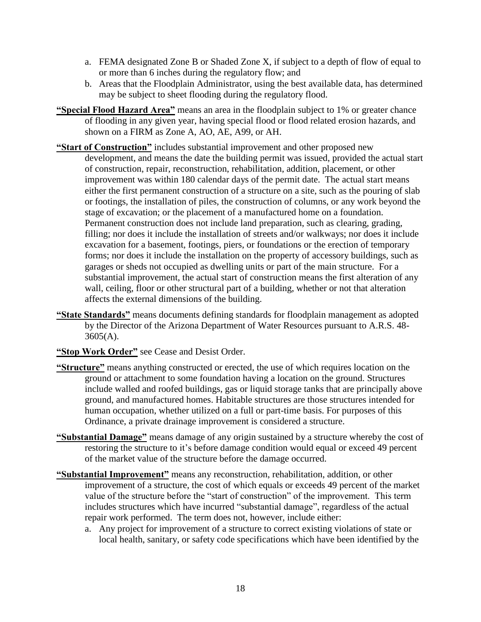- a. FEMA designated Zone B or Shaded Zone X, if subject to a depth of flow of equal to or more than 6 inches during the regulatory flow; and
- b. Areas that the Floodplain Administrator, using the best available data, has determined may be subject to sheet flooding during the regulatory flood.
- **"Special Flood Hazard Area"** means an area in the floodplain subject to 1% or greater chance of flooding in any given year, having special flood or flood related erosion hazards, and shown on a FIRM as Zone A, AO, AE, A99, or AH.
- **"Start of Construction"** includes substantial improvement and other proposed new development, and means the date the building permit was issued, provided the actual start of construction, repair, reconstruction, rehabilitation, addition, placement, or other improvement was within 180 calendar days of the permit date. The actual start means either the first permanent construction of a structure on a site, such as the pouring of slab or footings, the installation of piles, the construction of columns, or any work beyond the stage of excavation; or the placement of a manufactured home on a foundation. Permanent construction does not include land preparation, such as clearing, grading, filling; nor does it include the installation of streets and/or walkways; nor does it include excavation for a basement, footings, piers, or foundations or the erection of temporary forms; nor does it include the installation on the property of accessory buildings, such as garages or sheds not occupied as dwelling units or part of the main structure. For a substantial improvement, the actual start of construction means the first alteration of any wall, ceiling, floor or other structural part of a building, whether or not that alteration affects the external dimensions of the building.
- **"State Standards"** means documents defining standards for floodplain management as adopted by the Director of the Arizona Department of Water Resources pursuant to A.R.S. 48-  $3605(A)$ .
- **"Stop Work Order"** see Cease and Desist Order.
- **"Structure"** means anything constructed or erected, the use of which requires location on the ground or attachment to some foundation having a location on the ground. Structures include walled and roofed buildings, gas or liquid storage tanks that are principally above ground, and manufactured homes. Habitable structures are those structures intended for human occupation, whether utilized on a full or part-time basis. For purposes of this Ordinance, a private drainage improvement is considered a structure.
- **"Substantial Damage"** means damage of any origin sustained by a structure whereby the cost of restoring the structure to it's before damage condition would equal or exceed 49 percent of the market value of the structure before the damage occurred.
- **"Substantial Improvement"** means any reconstruction, rehabilitation, addition, or other improvement of a structure, the cost of which equals or exceeds 49 percent of the market value of the structure before the "start of construction" of the improvement. This term includes structures which have incurred "substantial damage", regardless of the actual repair work performed. The term does not, however, include either:
	- a. Any project for improvement of a structure to correct existing violations of state or local health, sanitary, or safety code specifications which have been identified by the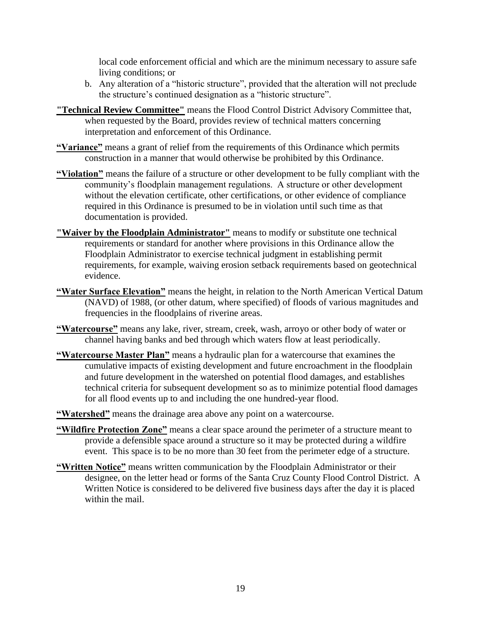local code enforcement official and which are the minimum necessary to assure safe living conditions; or

- b. Any alteration of a "historic structure", provided that the alteration will not preclude the structure's continued designation as a "historic structure".
- **"Technical Review Committee"** means the Flood Control District Advisory Committee that, when requested by the Board, provides review of technical matters concerning interpretation and enforcement of this Ordinance.
- **"Variance"** means a grant of relief from the requirements of this Ordinance which permits construction in a manner that would otherwise be prohibited by this Ordinance.
- **"Violation"** means the failure of a structure or other development to be fully compliant with the community's floodplain management regulations. A structure or other development without the elevation certificate, other certifications, or other evidence of compliance required in this Ordinance is presumed to be in violation until such time as that documentation is provided.
- **"Waiver by the Floodplain Administrator"** means to modify or substitute one technical requirements or standard for another where provisions in this Ordinance allow the Floodplain Administrator to exercise technical judgment in establishing permit requirements, for example, waiving erosion setback requirements based on geotechnical evidence.
- **"Water Surface Elevation"** means the height, in relation to the North American Vertical Datum (NAVD) of 1988, (or other datum, where specified) of floods of various magnitudes and frequencies in the floodplains of riverine areas.
- **"Watercourse"** means any lake, river, stream, creek, wash, arroyo or other body of water or channel having banks and bed through which waters flow at least periodically.
- **"Watercourse Master Plan"** means a hydraulic plan for a watercourse that examines the cumulative impacts of existing development and future encroachment in the floodplain and future development in the watershed on potential flood damages, and establishes technical criteria for subsequent development so as to minimize potential flood damages for all flood events up to and including the one hundred-year flood.
- **"Watershed"** means the drainage area above any point on a watercourse.
- **"Wildfire Protection Zone"** means a clear space around the perimeter of a structure meant to provide a defensible space around a structure so it may be protected during a wildfire event. This space is to be no more than 30 feet from the perimeter edge of a structure.
- **"Written Notice"** means written communication by the Floodplain Administrator or their designee, on the letter head or forms of the Santa Cruz County Flood Control District. A Written Notice is considered to be delivered five business days after the day it is placed within the mail.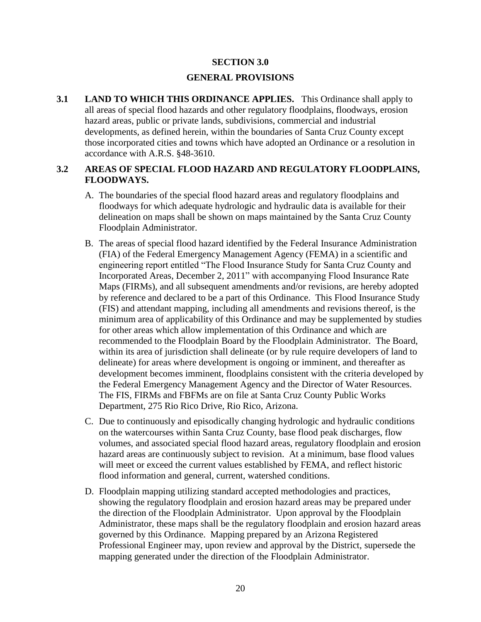#### **SECTION 3.0**

#### **GENERAL PROVISIONS**

**3.1 LAND TO WHICH THIS ORDINANCE APPLIES.** This Ordinance shall apply to all areas of special flood hazards and other regulatory floodplains, floodways, erosion hazard areas, public or private lands, subdivisions, commercial and industrial developments, as defined herein, within the boundaries of Santa Cruz County except those incorporated cities and towns which have adopted an Ordinance or a resolution in accordance with A.R.S. §48-3610.

### **3.2 AREAS OF SPECIAL FLOOD HAZARD AND REGULATORY FLOODPLAINS, FLOODWAYS.**

- A. The boundaries of the special flood hazard areas and regulatory floodplains and floodways for which adequate hydrologic and hydraulic data is available for their delineation on maps shall be shown on maps maintained by the Santa Cruz County Floodplain Administrator.
- B. The areas of special flood hazard identified by the Federal Insurance Administration (FIA) of the Federal Emergency Management Agency (FEMA) in a scientific and engineering report entitled "The Flood Insurance Study for Santa Cruz County and Incorporated Areas, December 2, 2011" with accompanying Flood Insurance Rate Maps (FIRMs), and all subsequent amendments and/or revisions, are hereby adopted by reference and declared to be a part of this Ordinance. This Flood Insurance Study (FIS) and attendant mapping, including all amendments and revisions thereof, is the minimum area of applicability of this Ordinance and may be supplemented by studies for other areas which allow implementation of this Ordinance and which are recommended to the Floodplain Board by the Floodplain Administrator. The Board, within its area of jurisdiction shall delineate (or by rule require developers of land to delineate) for areas where development is ongoing or imminent, and thereafter as development becomes imminent, floodplains consistent with the criteria developed by the Federal Emergency Management Agency and the Director of Water Resources. The FIS, FIRMs and FBFMs are on file at Santa Cruz County Public Works Department, 275 Rio Rico Drive, Rio Rico, Arizona.
- C. Due to continuously and episodically changing hydrologic and hydraulic conditions on the watercourses within Santa Cruz County, base flood peak discharges, flow volumes, and associated special flood hazard areas, regulatory floodplain and erosion hazard areas are continuously subject to revision. At a minimum, base flood values will meet or exceed the current values established by FEMA, and reflect historic flood information and general, current, watershed conditions.
- D. Floodplain mapping utilizing standard accepted methodologies and practices, showing the regulatory floodplain and erosion hazard areas may be prepared under the direction of the Floodplain Administrator. Upon approval by the Floodplain Administrator, these maps shall be the regulatory floodplain and erosion hazard areas governed by this Ordinance. Mapping prepared by an Arizona Registered Professional Engineer may, upon review and approval by the District, supersede the mapping generated under the direction of the Floodplain Administrator.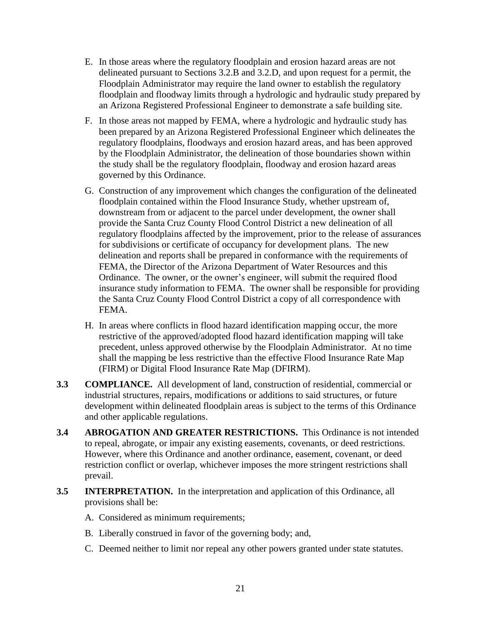- E. In those areas where the regulatory floodplain and erosion hazard areas are not delineated pursuant to Sections 3.2.B and 3.2.D, and upon request for a permit, the Floodplain Administrator may require the land owner to establish the regulatory floodplain and floodway limits through a hydrologic and hydraulic study prepared by an Arizona Registered Professional Engineer to demonstrate a safe building site.
- F. In those areas not mapped by FEMA, where a hydrologic and hydraulic study has been prepared by an Arizona Registered Professional Engineer which delineates the regulatory floodplains, floodways and erosion hazard areas, and has been approved by the Floodplain Administrator, the delineation of those boundaries shown within the study shall be the regulatory floodplain, floodway and erosion hazard areas governed by this Ordinance.
- G. Construction of any improvement which changes the configuration of the delineated floodplain contained within the Flood Insurance Study, whether upstream of, downstream from or adjacent to the parcel under development, the owner shall provide the Santa Cruz County Flood Control District a new delineation of all regulatory floodplains affected by the improvement, prior to the release of assurances for subdivisions or certificate of occupancy for development plans. The new delineation and reports shall be prepared in conformance with the requirements of FEMA, the Director of the Arizona Department of Water Resources and this Ordinance. The owner, or the owner's engineer, will submit the required flood insurance study information to FEMA. The owner shall be responsible for providing the Santa Cruz County Flood Control District a copy of all correspondence with FEMA.
- H. In areas where conflicts in flood hazard identification mapping occur, the more restrictive of the approved/adopted flood hazard identification mapping will take precedent, unless approved otherwise by the Floodplain Administrator. At no time shall the mapping be less restrictive than the effective Flood Insurance Rate Map (FIRM) or Digital Flood Insurance Rate Map (DFIRM).
- **3.3 COMPLIANCE.** All development of land, construction of residential, commercial or industrial structures, repairs, modifications or additions to said structures, or future development within delineated floodplain areas is subject to the terms of this Ordinance and other applicable regulations.
- **3.4 ABROGATION AND GREATER RESTRICTIONS.** This Ordinance is not intended to repeal, abrogate, or impair any existing easements, covenants, or deed restrictions. However, where this Ordinance and another ordinance, easement, covenant, or deed restriction conflict or overlap, whichever imposes the more stringent restrictions shall prevail.
- **3.5 INTERPRETATION.** In the interpretation and application of this Ordinance, all provisions shall be:
	- A. Considered as minimum requirements;
	- B. Liberally construed in favor of the governing body; and,
	- C. Deemed neither to limit nor repeal any other powers granted under state statutes.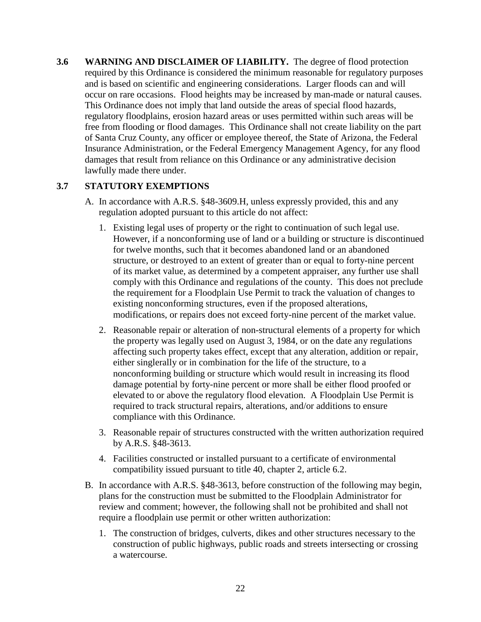**3.6 WARNING AND DISCLAIMER OF LIABILITY.** The degree of flood protection required by this Ordinance is considered the minimum reasonable for regulatory purposes and is based on scientific and engineering considerations. Larger floods can and will occur on rare occasions. Flood heights may be increased by man-made or natural causes. This Ordinance does not imply that land outside the areas of special flood hazards, regulatory floodplains, erosion hazard areas or uses permitted within such areas will be free from flooding or flood damages. This Ordinance shall not create liability on the part of Santa Cruz County, any officer or employee thereof, the State of Arizona, the Federal Insurance Administration, or the Federal Emergency Management Agency, for any flood damages that result from reliance on this Ordinance or any administrative decision lawfully made there under.

# **3.7 STATUTORY EXEMPTIONS**

- A. In accordance with A.R.S. §48-3609.H, unless expressly provided, this and any regulation adopted pursuant to this article do not affect:
	- 1. Existing legal uses of property or the right to continuation of such legal use. However, if a nonconforming use of land or a building or structure is discontinued for twelve months, such that it becomes abandoned land or an abandoned structure, or destroyed to an extent of greater than or equal to forty-nine percent of its market value, as determined by a competent appraiser, any further use shall comply with this Ordinance and regulations of the county. This does not preclude the requirement for a Floodplain Use Permit to track the valuation of changes to existing nonconforming structures, even if the proposed alterations, modifications, or repairs does not exceed forty-nine percent of the market value.
	- 2. Reasonable repair or alteration of non-structural elements of a property for which the property was legally used on August 3, 1984, or on the date any regulations affecting such property takes effect, except that any alteration, addition or repair, either singlerally or in combination for the life of the structure, to a nonconforming building or structure which would result in increasing its flood damage potential by forty-nine percent or more shall be either flood proofed or elevated to or above the regulatory flood elevation. A Floodplain Use Permit is required to track structural repairs, alterations, and/or additions to ensure compliance with this Ordinance.
	- 3. Reasonable repair of structures constructed with the written authorization required by A.R.S. §48-3613.
	- 4. Facilities constructed or installed pursuant to a certificate of environmental compatibility issued pursuant to title 40, chapter 2, article 6.2.
- B. In accordance with A.R.S. §48-3613, before construction of the following may begin, plans for the construction must be submitted to the Floodplain Administrator for review and comment; however, the following shall not be prohibited and shall not require a floodplain use permit or other written authorization:
	- 1. The construction of bridges, culverts, dikes and other structures necessary to the construction of public highways, public roads and streets intersecting or crossing a watercourse.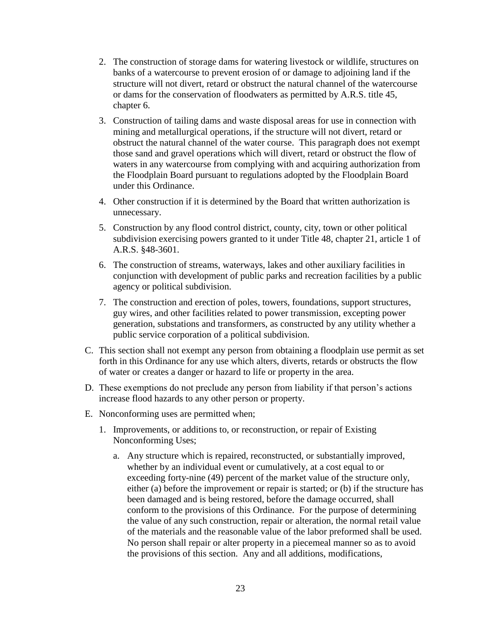- 2. The construction of storage dams for watering livestock or wildlife, structures on banks of a watercourse to prevent erosion of or damage to adjoining land if the structure will not divert, retard or obstruct the natural channel of the watercourse or dams for the conservation of floodwaters as permitted by A.R.S. title 45, chapter 6.
- 3. Construction of tailing dams and waste disposal areas for use in connection with mining and metallurgical operations, if the structure will not divert, retard or obstruct the natural channel of the water course. This paragraph does not exempt those sand and gravel operations which will divert, retard or obstruct the flow of waters in any watercourse from complying with and acquiring authorization from the Floodplain Board pursuant to regulations adopted by the Floodplain Board under this Ordinance.
- 4. Other construction if it is determined by the Board that written authorization is unnecessary.
- 5. Construction by any flood control district, county, city, town or other political subdivision exercising powers granted to it under Title 48, chapter 21, article 1 of A.R.S. §48-3601.
- 6. The construction of streams, waterways, lakes and other auxiliary facilities in conjunction with development of public parks and recreation facilities by a public agency or political subdivision.
- 7. The construction and erection of poles, towers, foundations, support structures, guy wires, and other facilities related to power transmission, excepting power generation, substations and transformers, as constructed by any utility whether a public service corporation of a political subdivision.
- C. This section shall not exempt any person from obtaining a floodplain use permit as set forth in this Ordinance for any use which alters, diverts, retards or obstructs the flow of water or creates a danger or hazard to life or property in the area.
- D. These exemptions do not preclude any person from liability if that person's actions increase flood hazards to any other person or property.
- E. Nonconforming uses are permitted when;
	- 1. Improvements, or additions to, or reconstruction, or repair of Existing Nonconforming Uses;
		- a. Any structure which is repaired, reconstructed, or substantially improved, whether by an individual event or cumulatively, at a cost equal to or exceeding forty-nine (49) percent of the market value of the structure only, either (a) before the improvement or repair is started; or (b) if the structure has been damaged and is being restored, before the damage occurred, shall conform to the provisions of this Ordinance. For the purpose of determining the value of any such construction, repair or alteration, the normal retail value of the materials and the reasonable value of the labor preformed shall be used. No person shall repair or alter property in a piecemeal manner so as to avoid the provisions of this section. Any and all additions, modifications,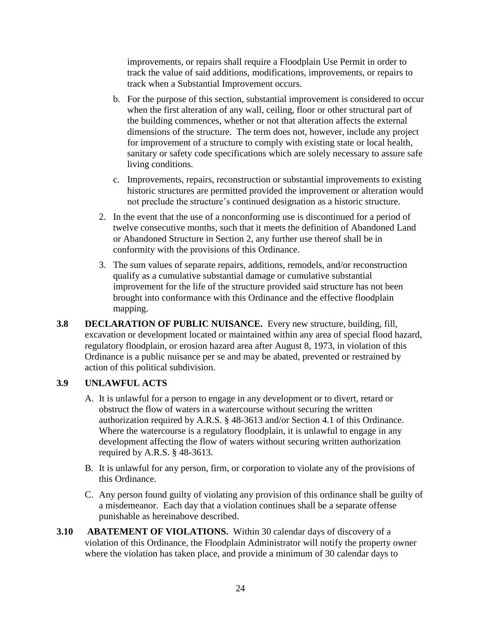improvements, or repairs shall require a Floodplain Use Permit in order to track the value of said additions, modifications, improvements, or repairs to track when a Substantial Improvement occurs.

- b. For the purpose of this section, substantial improvement is considered to occur when the first alteration of any wall, ceiling, floor or other structural part of the building commences, whether or not that alteration affects the external dimensions of the structure. The term does not, however, include any project for improvement of a structure to comply with existing state or local health, sanitary or safety code specifications which are solely necessary to assure safe living conditions.
- c. Improvements, repairs, reconstruction or substantial improvements to existing historic structures are permitted provided the improvement or alteration would not preclude the structure's continued designation as a historic structure.
- 2. In the event that the use of a nonconforming use is discontinued for a period of twelve consecutive months, such that it meets the definition of Abandoned Land or Abandoned Structure in Section 2, any further use thereof shall be in conformity with the provisions of this Ordinance.
- 3. The sum values of separate repairs, additions, remodels, and/or reconstruction qualify as a cumulative substantial damage or cumulative substantial improvement for the life of the structure provided said structure has not been brought into conformance with this Ordinance and the effective floodplain mapping.
- **3.8 DECLARATION OF PUBLIC NUISANCE.** Every new structure, building, fill, excavation or development located or maintained within any area of special flood hazard, regulatory floodplain, or erosion hazard area after August 8, 1973, in violation of this Ordinance is a public nuisance per se and may be abated, prevented or restrained by action of this political subdivision.

# **3.9 UNLAWFUL ACTS**

- A. It is unlawful for a person to engage in any development or to divert, retard or obstruct the flow of waters in a watercourse without securing the written authorization required by A.R.S. § 48-3613 and/or Section 4.1 of this Ordinance. Where the watercourse is a regulatory floodplain, it is unlawful to engage in any development affecting the flow of waters without securing written authorization required by A.R.S. § 48-3613.
- B. It is unlawful for any person, firm, or corporation to violate any of the provisions of this Ordinance.
- C. Any person found guilty of violating any provision of this ordinance shall be guilty of a misdemeanor. Each day that a violation continues shall be a separate offense punishable as hereinabove described.
- **3.10 ABATEMENT OF VIOLATIONS.** Within 30 calendar days of discovery of a violation of this Ordinance, the Floodplain Administrator will notify the property owner where the violation has taken place, and provide a minimum of 30 calendar days to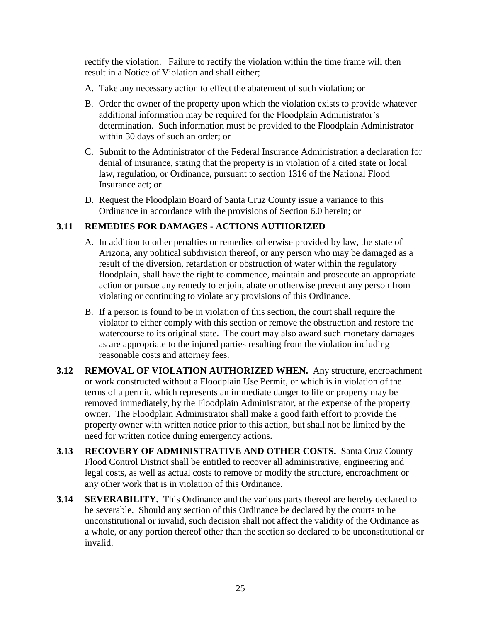rectify the violation. Failure to rectify the violation within the time frame will then result in a Notice of Violation and shall either;

- A. Take any necessary action to effect the abatement of such violation; or
- B. Order the owner of the property upon which the violation exists to provide whatever additional information may be required for the Floodplain Administrator's determination. Such information must be provided to the Floodplain Administrator within 30 days of such an order; or
- C. Submit to the Administrator of the Federal Insurance Administration a declaration for denial of insurance, stating that the property is in violation of a cited state or local law, regulation, or Ordinance, pursuant to section 1316 of the National Flood Insurance act; or
- D. Request the Floodplain Board of Santa Cruz County issue a variance to this Ordinance in accordance with the provisions of Section 6.0 herein; or

# **3.11 REMEDIES FOR DAMAGES - ACTIONS AUTHORIZED**

- A. In addition to other penalties or remedies otherwise provided by law, the state of Arizona, any political subdivision thereof, or any person who may be damaged as a result of the diversion, retardation or obstruction of water within the regulatory floodplain, shall have the right to commence, maintain and prosecute an appropriate action or pursue any remedy to enjoin, abate or otherwise prevent any person from violating or continuing to violate any provisions of this Ordinance.
- B. If a person is found to be in violation of this section, the court shall require the violator to either comply with this section or remove the obstruction and restore the watercourse to its original state. The court may also award such monetary damages as are appropriate to the injured parties resulting from the violation including reasonable costs and attorney fees.
- **3.12 REMOVAL OF VIOLATION AUTHORIZED WHEN.** Any structure, encroachment or work constructed without a Floodplain Use Permit, or which is in violation of the terms of a permit, which represents an immediate danger to life or property may be removed immediately, by the Floodplain Administrator, at the expense of the property owner. The Floodplain Administrator shall make a good faith effort to provide the property owner with written notice prior to this action, but shall not be limited by the need for written notice during emergency actions.
- **3.13 RECOVERY OF ADMINISTRATIVE AND OTHER COSTS.** Santa Cruz County Flood Control District shall be entitled to recover all administrative, engineering and legal costs, as well as actual costs to remove or modify the structure, encroachment or any other work that is in violation of this Ordinance.
- **3.14 SEVERABILITY.** This Ordinance and the various parts thereof are hereby declared to be severable. Should any section of this Ordinance be declared by the courts to be unconstitutional or invalid, such decision shall not affect the validity of the Ordinance as a whole, or any portion thereof other than the section so declared to be unconstitutional or invalid.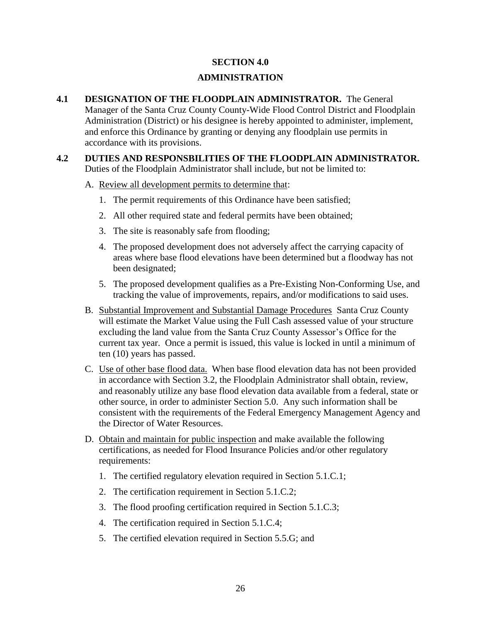#### **SECTION 4.0**

### **ADMINISTRATION**

- **4.1 DESIGNATION OF THE FLOODPLAIN ADMINISTRATOR.** The General Manager of the Santa Cruz County County-Wide Flood Control District and Floodplain Administration (District) or his designee is hereby appointed to administer, implement, and enforce this Ordinance by granting or denying any floodplain use permits in accordance with its provisions.
- **4.2 DUTIES AND RESPONSBILITIES OF THE FLOODPLAIN ADMINISTRATOR.** Duties of the Floodplain Administrator shall include, but not be limited to:
	- A. Review all development permits to determine that:
		- 1. The permit requirements of this Ordinance have been satisfied;
		- 2. All other required state and federal permits have been obtained;
		- 3. The site is reasonably safe from flooding;
		- 4. The proposed development does not adversely affect the carrying capacity of areas where base flood elevations have been determined but a floodway has not been designated;
		- 5. The proposed development qualifies as a Pre-Existing Non-Conforming Use, and tracking the value of improvements, repairs, and/or modifications to said uses.
	- B. Substantial Improvement and Substantial Damage Procedures Santa Cruz County will estimate the Market Value using the Full Cash assessed value of your structure excluding the land value from the Santa Cruz County Assessor's Office for the current tax year. Once a permit is issued, this value is locked in until a minimum of ten (10) years has passed.
	- C. Use of other base flood data. When base flood elevation data has not been provided in accordance with Section 3.2, the Floodplain Administrator shall obtain, review, and reasonably utilize any base flood elevation data available from a federal, state or other source, in order to administer Section 5.0. Any such information shall be consistent with the requirements of the Federal Emergency Management Agency and the Director of Water Resources.
	- D. Obtain and maintain for public inspection and make available the following certifications, as needed for Flood Insurance Policies and/or other regulatory requirements:
		- 1. The certified regulatory elevation required in Section 5.1.C.1;
		- 2. The certification requirement in Section 5.1.C.2;
		- 3. The flood proofing certification required in Section 5.1.C.3;
		- 4. The certification required in Section 5.1.C.4;
		- 5. The certified elevation required in Section 5.5.G; and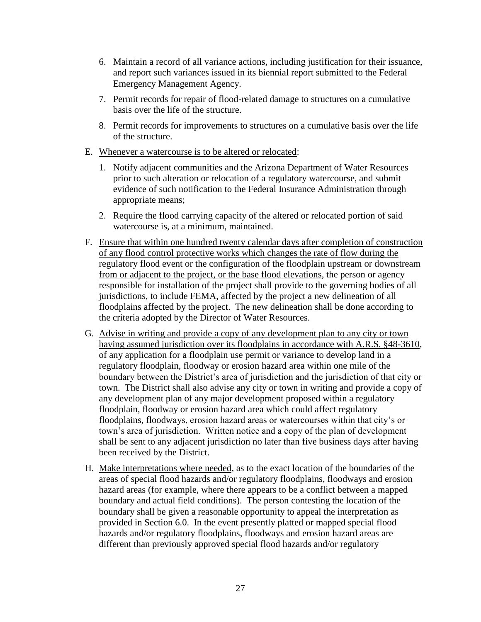- 6. Maintain a record of all variance actions, including justification for their issuance, and report such variances issued in its biennial report submitted to the Federal Emergency Management Agency.
- 7. Permit records for repair of flood-related damage to structures on a cumulative basis over the life of the structure.
- 8. Permit records for improvements to structures on a cumulative basis over the life of the structure.
- E. Whenever a watercourse is to be altered or relocated:
	- 1. Notify adjacent communities and the Arizona Department of Water Resources prior to such alteration or relocation of a regulatory watercourse, and submit evidence of such notification to the Federal Insurance Administration through appropriate means;
	- 2. Require the flood carrying capacity of the altered or relocated portion of said watercourse is, at a minimum, maintained.
- F. Ensure that within one hundred twenty calendar days after completion of construction of any flood control protective works which changes the rate of flow during the regulatory flood event or the configuration of the floodplain upstream or downstream from or adjacent to the project, or the base flood elevations, the person or agency responsible for installation of the project shall provide to the governing bodies of all jurisdictions, to include FEMA, affected by the project a new delineation of all floodplains affected by the project. The new delineation shall be done according to the criteria adopted by the Director of Water Resources.
- G. Advise in writing and provide a copy of any development plan to any city or town having assumed jurisdiction over its floodplains in accordance with A.R.S. §48-3610, of any application for a floodplain use permit or variance to develop land in a regulatory floodplain, floodway or erosion hazard area within one mile of the boundary between the District's area of jurisdiction and the jurisdiction of that city or town. The District shall also advise any city or town in writing and provide a copy of any development plan of any major development proposed within a regulatory floodplain, floodway or erosion hazard area which could affect regulatory floodplains, floodways, erosion hazard areas or watercourses within that city's or town's area of jurisdiction. Written notice and a copy of the plan of development shall be sent to any adjacent jurisdiction no later than five business days after having been received by the District.
- H. Make interpretations where needed, as to the exact location of the boundaries of the areas of special flood hazards and/or regulatory floodplains, floodways and erosion hazard areas (for example, where there appears to be a conflict between a mapped boundary and actual field conditions). The person contesting the location of the boundary shall be given a reasonable opportunity to appeal the interpretation as provided in Section 6.0. In the event presently platted or mapped special flood hazards and/or regulatory floodplains, floodways and erosion hazard areas are different than previously approved special flood hazards and/or regulatory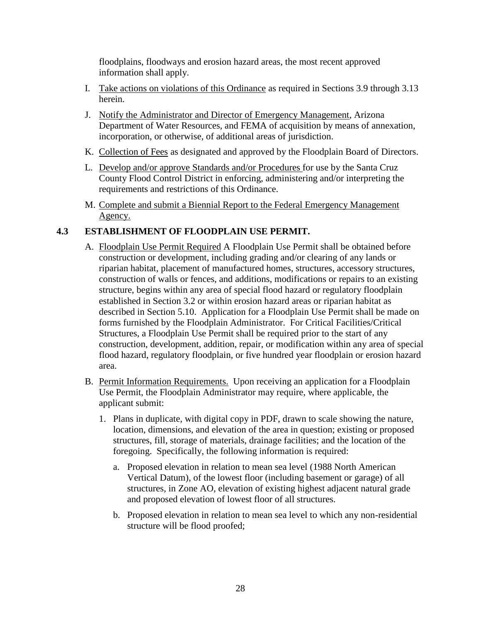floodplains, floodways and erosion hazard areas, the most recent approved information shall apply.

- I. Take actions on violations of this Ordinance as required in Sections 3.9 through 3.13 herein.
- J. Notify the Administrator and Director of Emergency Management, Arizona Department of Water Resources, and FEMA of acquisition by means of annexation, incorporation, or otherwise, of additional areas of jurisdiction.
- K. Collection of Fees as designated and approved by the Floodplain Board of Directors.
- L. Develop and/or approve Standards and/or Procedures for use by the Santa Cruz County Flood Control District in enforcing, administering and/or interpreting the requirements and restrictions of this Ordinance.
- M. Complete and submit a Biennial Report to the Federal Emergency Management Agency.

# **4.3 ESTABLISHMENT OF FLOODPLAIN USE PERMIT.**

- A. Floodplain Use Permit Required A Floodplain Use Permit shall be obtained before construction or development, including grading and/or clearing of any lands or riparian habitat, placement of manufactured homes, structures, accessory structures, construction of walls or fences, and additions, modifications or repairs to an existing structure, begins within any area of special flood hazard or regulatory floodplain established in Section 3.2 or within erosion hazard areas or riparian habitat as described in Section 5.10. Application for a Floodplain Use Permit shall be made on forms furnished by the Floodplain Administrator. For Critical Facilities/Critical Structures, a Floodplain Use Permit shall be required prior to the start of any construction, development, addition, repair, or modification within any area of special flood hazard, regulatory floodplain, or five hundred year floodplain or erosion hazard area.
- B. Permit Information Requirements. Upon receiving an application for a Floodplain Use Permit, the Floodplain Administrator may require, where applicable, the applicant submit:
	- 1. Plans in duplicate, with digital copy in PDF, drawn to scale showing the nature, location, dimensions, and elevation of the area in question; existing or proposed structures, fill, storage of materials, drainage facilities; and the location of the foregoing. Specifically, the following information is required:
		- a. Proposed elevation in relation to mean sea level (1988 North American Vertical Datum), of the lowest floor (including basement or garage) of all structures, in Zone AO, elevation of existing highest adjacent natural grade and proposed elevation of lowest floor of all structures.
		- b. Proposed elevation in relation to mean sea level to which any non-residential structure will be flood proofed;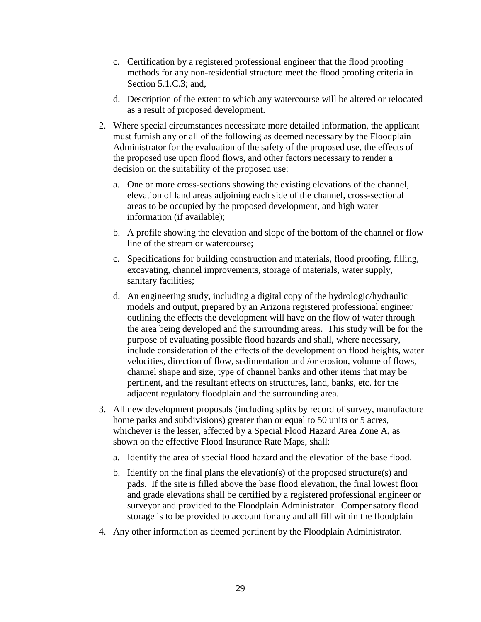- c. Certification by a registered professional engineer that the flood proofing methods for any non-residential structure meet the flood proofing criteria in Section 5.1.C.3; and,
- d. Description of the extent to which any watercourse will be altered or relocated as a result of proposed development.
- 2. Where special circumstances necessitate more detailed information, the applicant must furnish any or all of the following as deemed necessary by the Floodplain Administrator for the evaluation of the safety of the proposed use, the effects of the proposed use upon flood flows, and other factors necessary to render a decision on the suitability of the proposed use:
	- a. One or more cross-sections showing the existing elevations of the channel, elevation of land areas adjoining each side of the channel, cross-sectional areas to be occupied by the proposed development, and high water information (if available);
	- b. A profile showing the elevation and slope of the bottom of the channel or flow line of the stream or watercourse;
	- c. Specifications for building construction and materials, flood proofing, filling, excavating, channel improvements, storage of materials, water supply, sanitary facilities;
	- d. An engineering study, including a digital copy of the hydrologic/hydraulic models and output, prepared by an Arizona registered professional engineer outlining the effects the development will have on the flow of water through the area being developed and the surrounding areas. This study will be for the purpose of evaluating possible flood hazards and shall, where necessary, include consideration of the effects of the development on flood heights, water velocities, direction of flow, sedimentation and /or erosion, volume of flows, channel shape and size, type of channel banks and other items that may be pertinent, and the resultant effects on structures, land, banks, etc. for the adjacent regulatory floodplain and the surrounding area.
- 3. All new development proposals (including splits by record of survey, manufacture home parks and subdivisions) greater than or equal to 50 units or 5 acres, whichever is the lesser, affected by a Special Flood Hazard Area Zone A, as shown on the effective Flood Insurance Rate Maps, shall:
	- a. Identify the area of special flood hazard and the elevation of the base flood.
	- b. Identify on the final plans the elevation(s) of the proposed structure(s) and pads. If the site is filled above the base flood elevation, the final lowest floor and grade elevations shall be certified by a registered professional engineer or surveyor and provided to the Floodplain Administrator. Compensatory flood storage is to be provided to account for any and all fill within the floodplain
- 4. Any other information as deemed pertinent by the Floodplain Administrator.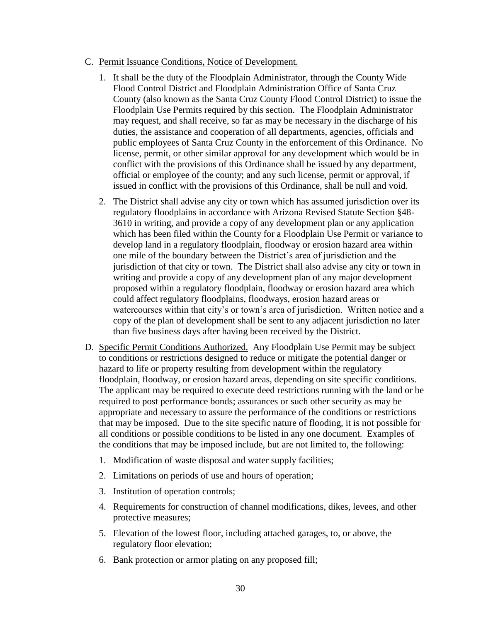- C. Permit Issuance Conditions, Notice of Development.
	- 1. It shall be the duty of the Floodplain Administrator, through the County Wide Flood Control District and Floodplain Administration Office of Santa Cruz County (also known as the Santa Cruz County Flood Control District) to issue the Floodplain Use Permits required by this section. The Floodplain Administrator may request, and shall receive, so far as may be necessary in the discharge of his duties, the assistance and cooperation of all departments, agencies, officials and public employees of Santa Cruz County in the enforcement of this Ordinance. No license, permit, or other similar approval for any development which would be in conflict with the provisions of this Ordinance shall be issued by any department, official or employee of the county; and any such license, permit or approval, if issued in conflict with the provisions of this Ordinance, shall be null and void.
	- 2. The District shall advise any city or town which has assumed jurisdiction over its regulatory floodplains in accordance with Arizona Revised Statute Section §48- 3610 in writing, and provide a copy of any development plan or any application which has been filed within the County for a Floodplain Use Permit or variance to develop land in a regulatory floodplain, floodway or erosion hazard area within one mile of the boundary between the District's area of jurisdiction and the jurisdiction of that city or town. The District shall also advise any city or town in writing and provide a copy of any development plan of any major development proposed within a regulatory floodplain, floodway or erosion hazard area which could affect regulatory floodplains, floodways, erosion hazard areas or watercourses within that city's or town's area of jurisdiction. Written notice and a copy of the plan of development shall be sent to any adjacent jurisdiction no later than five business days after having been received by the District.
- D. Specific Permit Conditions Authorized. Any Floodplain Use Permit may be subject to conditions or restrictions designed to reduce or mitigate the potential danger or hazard to life or property resulting from development within the regulatory floodplain, floodway, or erosion hazard areas, depending on site specific conditions. The applicant may be required to execute deed restrictions running with the land or be required to post performance bonds; assurances or such other security as may be appropriate and necessary to assure the performance of the conditions or restrictions that may be imposed. Due to the site specific nature of flooding, it is not possible for all conditions or possible conditions to be listed in any one document. Examples of the conditions that may be imposed include, but are not limited to, the following:
	- 1. Modification of waste disposal and water supply facilities;
	- 2. Limitations on periods of use and hours of operation;
	- 3. Institution of operation controls;
	- 4. Requirements for construction of channel modifications, dikes, levees, and other protective measures;
	- 5. Elevation of the lowest floor, including attached garages, to, or above, the regulatory floor elevation;
	- 6. Bank protection or armor plating on any proposed fill;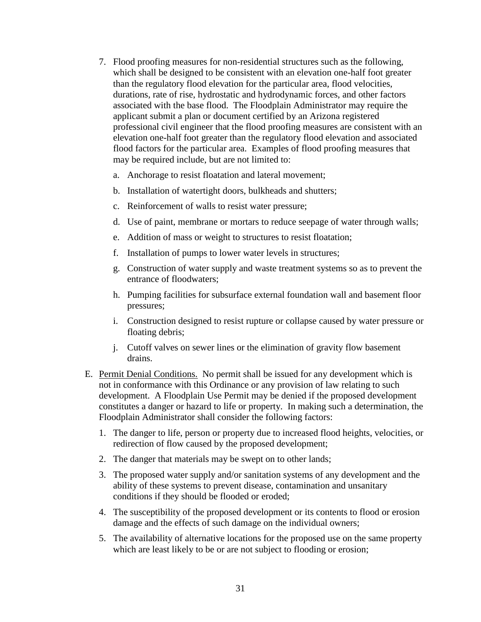- 7. Flood proofing measures for non-residential structures such as the following, which shall be designed to be consistent with an elevation one-half foot greater than the regulatory flood elevation for the particular area, flood velocities, durations, rate of rise, hydrostatic and hydrodynamic forces, and other factors associated with the base flood. The Floodplain Administrator may require the applicant submit a plan or document certified by an Arizona registered professional civil engineer that the flood proofing measures are consistent with an elevation one-half foot greater than the regulatory flood elevation and associated flood factors for the particular area. Examples of flood proofing measures that may be required include, but are not limited to:
	- a. Anchorage to resist floatation and lateral movement;
	- b. Installation of watertight doors, bulkheads and shutters;
	- c. Reinforcement of walls to resist water pressure;
	- d. Use of paint, membrane or mortars to reduce seepage of water through walls;
	- e. Addition of mass or weight to structures to resist floatation;
	- f. Installation of pumps to lower water levels in structures;
	- g. Construction of water supply and waste treatment systems so as to prevent the entrance of floodwaters;
	- h. Pumping facilities for subsurface external foundation wall and basement floor pressures;
	- i. Construction designed to resist rupture or collapse caused by water pressure or floating debris;
	- j. Cutoff valves on sewer lines or the elimination of gravity flow basement drains.
- E. Permit Denial Conditions. No permit shall be issued for any development which is not in conformance with this Ordinance or any provision of law relating to such development. A Floodplain Use Permit may be denied if the proposed development constitutes a danger or hazard to life or property. In making such a determination, the Floodplain Administrator shall consider the following factors:
	- 1. The danger to life, person or property due to increased flood heights, velocities, or redirection of flow caused by the proposed development;
	- 2. The danger that materials may be swept on to other lands;
	- 3. The proposed water supply and/or sanitation systems of any development and the ability of these systems to prevent disease, contamination and unsanitary conditions if they should be flooded or eroded;
	- 4. The susceptibility of the proposed development or its contents to flood or erosion damage and the effects of such damage on the individual owners;
	- 5. The availability of alternative locations for the proposed use on the same property which are least likely to be or are not subject to flooding or erosion;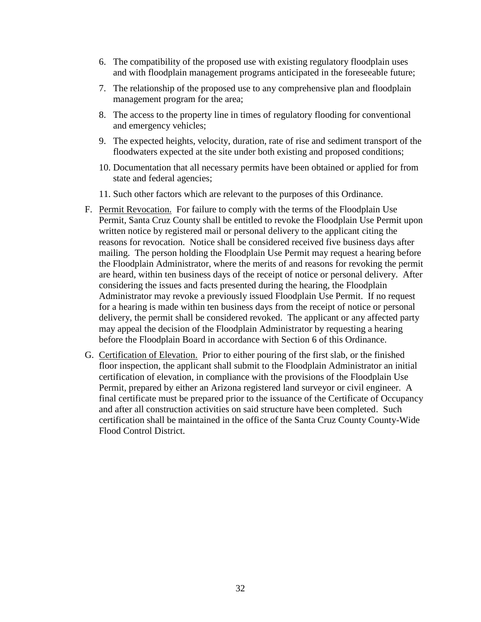- 6. The compatibility of the proposed use with existing regulatory floodplain uses and with floodplain management programs anticipated in the foreseeable future;
- 7. The relationship of the proposed use to any comprehensive plan and floodplain management program for the area;
- 8. The access to the property line in times of regulatory flooding for conventional and emergency vehicles;
- 9. The expected heights, velocity, duration, rate of rise and sediment transport of the floodwaters expected at the site under both existing and proposed conditions;
- 10. Documentation that all necessary permits have been obtained or applied for from state and federal agencies;
- 11. Such other factors which are relevant to the purposes of this Ordinance.
- F. Permit Revocation. For failure to comply with the terms of the Floodplain Use Permit, Santa Cruz County shall be entitled to revoke the Floodplain Use Permit upon written notice by registered mail or personal delivery to the applicant citing the reasons for revocation. Notice shall be considered received five business days after mailing. The person holding the Floodplain Use Permit may request a hearing before the Floodplain Administrator, where the merits of and reasons for revoking the permit are heard, within ten business days of the receipt of notice or personal delivery. After considering the issues and facts presented during the hearing, the Floodplain Administrator may revoke a previously issued Floodplain Use Permit. If no request for a hearing is made within ten business days from the receipt of notice or personal delivery, the permit shall be considered revoked. The applicant or any affected party may appeal the decision of the Floodplain Administrator by requesting a hearing before the Floodplain Board in accordance with Section 6 of this Ordinance.
- G. Certification of Elevation. Prior to either pouring of the first slab, or the finished floor inspection, the applicant shall submit to the Floodplain Administrator an initial certification of elevation, in compliance with the provisions of the Floodplain Use Permit, prepared by either an Arizona registered land surveyor or civil engineer. A final certificate must be prepared prior to the issuance of the Certificate of Occupancy and after all construction activities on said structure have been completed. Such certification shall be maintained in the office of the Santa Cruz County County-Wide Flood Control District.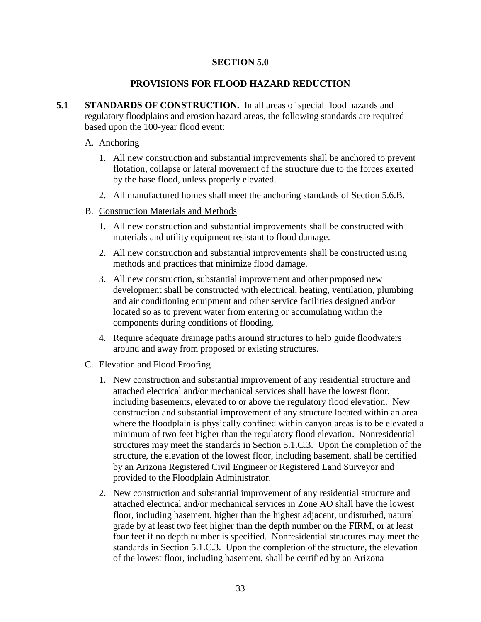#### **SECTION 5.0**

#### **PROVISIONS FOR FLOOD HAZARD REDUCTION**

**5.1 STANDARDS OF CONSTRUCTION.** In all areas of special flood hazards and regulatory floodplains and erosion hazard areas, the following standards are required based upon the 100-year flood event:

#### A. Anchoring

- 1. All new construction and substantial improvements shall be anchored to prevent flotation, collapse or lateral movement of the structure due to the forces exerted by the base flood, unless properly elevated.
- 2. All manufactured homes shall meet the anchoring standards of Section 5.6.B.
- B. Construction Materials and Methods
	- 1. All new construction and substantial improvements shall be constructed with materials and utility equipment resistant to flood damage.
	- 2. All new construction and substantial improvements shall be constructed using methods and practices that minimize flood damage.
	- 3. All new construction, substantial improvement and other proposed new development shall be constructed with electrical, heating, ventilation, plumbing and air conditioning equipment and other service facilities designed and/or located so as to prevent water from entering or accumulating within the components during conditions of flooding.
	- 4. Require adequate drainage paths around structures to help guide floodwaters around and away from proposed or existing structures.

#### C. Elevation and Flood Proofing

- 1. New construction and substantial improvement of any residential structure and attached electrical and/or mechanical services shall have the lowest floor, including basements, elevated to or above the regulatory flood elevation. New construction and substantial improvement of any structure located within an area where the floodplain is physically confined within canyon areas is to be elevated a minimum of two feet higher than the regulatory flood elevation. Nonresidential structures may meet the standards in Section 5.1.C.3. Upon the completion of the structure, the elevation of the lowest floor, including basement, shall be certified by an Arizona Registered Civil Engineer or Registered Land Surveyor and provided to the Floodplain Administrator.
- 2. New construction and substantial improvement of any residential structure and attached electrical and/or mechanical services in Zone AO shall have the lowest floor, including basement, higher than the highest adjacent, undisturbed, natural grade by at least two feet higher than the depth number on the FIRM, or at least four feet if no depth number is specified. Nonresidential structures may meet the standards in Section 5.1.C.3. Upon the completion of the structure, the elevation of the lowest floor, including basement, shall be certified by an Arizona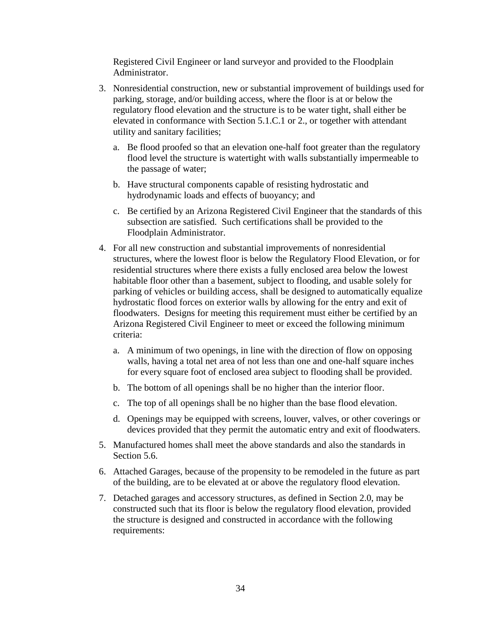Registered Civil Engineer or land surveyor and provided to the Floodplain Administrator.

- 3. Nonresidential construction, new or substantial improvement of buildings used for parking, storage, and/or building access, where the floor is at or below the regulatory flood elevation and the structure is to be water tight, shall either be elevated in conformance with Section 5.1.C.1 or 2., or together with attendant utility and sanitary facilities;
	- a. Be flood proofed so that an elevation one-half foot greater than the regulatory flood level the structure is watertight with walls substantially impermeable to the passage of water;
	- b. Have structural components capable of resisting hydrostatic and hydrodynamic loads and effects of buoyancy; and
	- c. Be certified by an Arizona Registered Civil Engineer that the standards of this subsection are satisfied. Such certifications shall be provided to the Floodplain Administrator.
- 4. For all new construction and substantial improvements of nonresidential structures, where the lowest floor is below the Regulatory Flood Elevation, or for residential structures where there exists a fully enclosed area below the lowest habitable floor other than a basement, subject to flooding, and usable solely for parking of vehicles or building access, shall be designed to automatically equalize hydrostatic flood forces on exterior walls by allowing for the entry and exit of floodwaters. Designs for meeting this requirement must either be certified by an Arizona Registered Civil Engineer to meet or exceed the following minimum criteria:
	- a. A minimum of two openings, in line with the direction of flow on opposing walls, having a total net area of not less than one and one-half square inches for every square foot of enclosed area subject to flooding shall be provided.
	- b. The bottom of all openings shall be no higher than the interior floor.
	- c. The top of all openings shall be no higher than the base flood elevation.
	- d. Openings may be equipped with screens, louver, valves, or other coverings or devices provided that they permit the automatic entry and exit of floodwaters.
- 5. Manufactured homes shall meet the above standards and also the standards in Section 5.6.
- 6. Attached Garages, because of the propensity to be remodeled in the future as part of the building, are to be elevated at or above the regulatory flood elevation.
- 7. Detached garages and accessory structures, as defined in Section 2.0, may be constructed such that its floor is below the regulatory flood elevation, provided the structure is designed and constructed in accordance with the following requirements: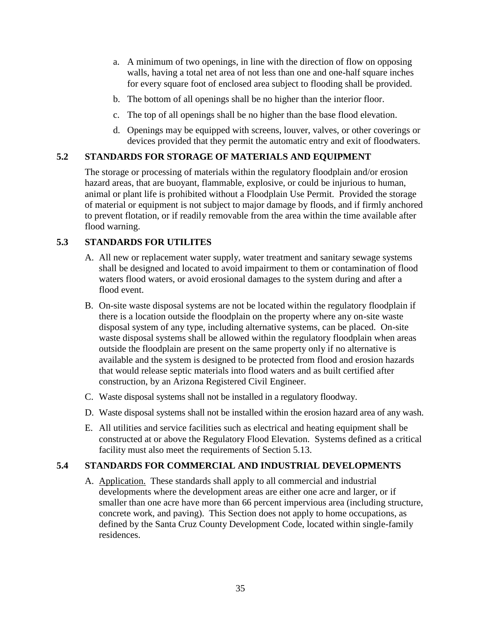- a. A minimum of two openings, in line with the direction of flow on opposing walls, having a total net area of not less than one and one-half square inches for every square foot of enclosed area subject to flooding shall be provided.
- b. The bottom of all openings shall be no higher than the interior floor.
- c. The top of all openings shall be no higher than the base flood elevation.
- d. Openings may be equipped with screens, louver, valves, or other coverings or devices provided that they permit the automatic entry and exit of floodwaters.

# **5.2 STANDARDS FOR STORAGE OF MATERIALS AND EQUIPMENT**

The storage or processing of materials within the regulatory floodplain and/or erosion hazard areas, that are buoyant, flammable, explosive, or could be injurious to human, animal or plant life is prohibited without a Floodplain Use Permit. Provided the storage of material or equipment is not subject to major damage by floods, and if firmly anchored to prevent flotation, or if readily removable from the area within the time available after flood warning.

# **5.3 STANDARDS FOR UTILITES**

- A. All new or replacement water supply, water treatment and sanitary sewage systems shall be designed and located to avoid impairment to them or contamination of flood waters flood waters, or avoid erosional damages to the system during and after a flood event.
- B. On-site waste disposal systems are not be located within the regulatory floodplain if there is a location outside the floodplain on the property where any on-site waste disposal system of any type, including alternative systems, can be placed. On-site waste disposal systems shall be allowed within the regulatory floodplain when areas outside the floodplain are present on the same property only if no alternative is available and the system is designed to be protected from flood and erosion hazards that would release septic materials into flood waters and as built certified after construction, by an Arizona Registered Civil Engineer.
- C. Waste disposal systems shall not be installed in a regulatory floodway.
- D. Waste disposal systems shall not be installed within the erosion hazard area of any wash.
- E. All utilities and service facilities such as electrical and heating equipment shall be constructed at or above the Regulatory Flood Elevation. Systems defined as a critical facility must also meet the requirements of Section 5.13.

# **5.4 STANDARDS FOR COMMERCIAL AND INDUSTRIAL DEVELOPMENTS**

A. Application. These standards shall apply to all commercial and industrial developments where the development areas are either one acre and larger, or if smaller than one acre have more than 66 percent impervious area (including structure, concrete work, and paving). This Section does not apply to home occupations, as defined by the Santa Cruz County Development Code, located within single-family residences.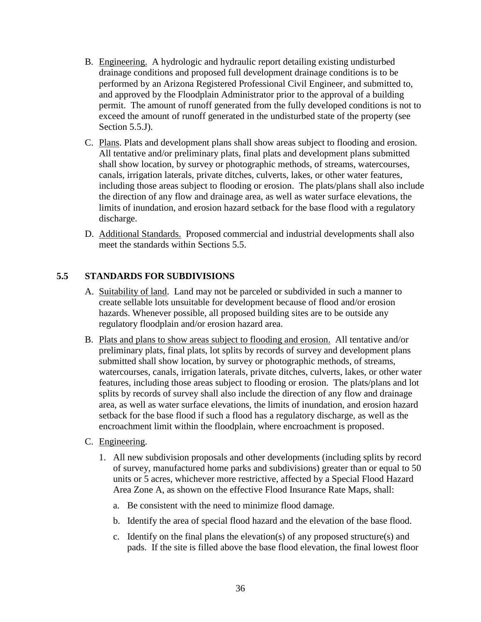- B. Engineering. A hydrologic and hydraulic report detailing existing undisturbed drainage conditions and proposed full development drainage conditions is to be performed by an Arizona Registered Professional Civil Engineer, and submitted to, and approved by the Floodplain Administrator prior to the approval of a building permit. The amount of runoff generated from the fully developed conditions is not to exceed the amount of runoff generated in the undisturbed state of the property (see Section 5.5.J).
- C. Plans. Plats and development plans shall show areas subject to flooding and erosion. All tentative and/or preliminary plats, final plats and development plans submitted shall show location, by survey or photographic methods, of streams, watercourses, canals, irrigation laterals, private ditches, culverts, lakes, or other water features, including those areas subject to flooding or erosion. The plats/plans shall also include the direction of any flow and drainage area, as well as water surface elevations, the limits of inundation, and erosion hazard setback for the base flood with a regulatory discharge.
- D. Additional Standards. Proposed commercial and industrial developments shall also meet the standards within Sections 5.5.

# **5.5 STANDARDS FOR SUBDIVISIONS**

- A. Suitability of land. Land may not be parceled or subdivided in such a manner to create sellable lots unsuitable for development because of flood and/or erosion hazards. Whenever possible, all proposed building sites are to be outside any regulatory floodplain and/or erosion hazard area.
- B. Plats and plans to show areas subject to flooding and erosion. All tentative and/or preliminary plats, final plats, lot splits by records of survey and development plans submitted shall show location, by survey or photographic methods, of streams, watercourses, canals, irrigation laterals, private ditches, culverts, lakes, or other water features, including those areas subject to flooding or erosion. The plats/plans and lot splits by records of survey shall also include the direction of any flow and drainage area, as well as water surface elevations, the limits of inundation, and erosion hazard setback for the base flood if such a flood has a regulatory discharge, as well as the encroachment limit within the floodplain, where encroachment is proposed.
- C. Engineering.
	- 1. All new subdivision proposals and other developments (including splits by record of survey, manufactured home parks and subdivisions) greater than or equal to 50 units or 5 acres, whichever more restrictive, affected by a Special Flood Hazard Area Zone A, as shown on the effective Flood Insurance Rate Maps, shall:
		- a. Be consistent with the need to minimize flood damage.
		- b. Identify the area of special flood hazard and the elevation of the base flood.
		- c. Identify on the final plans the elevation(s) of any proposed structure(s) and pads. If the site is filled above the base flood elevation, the final lowest floor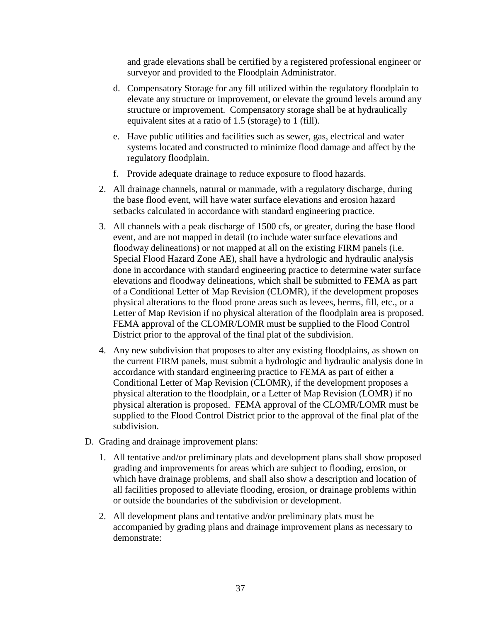and grade elevations shall be certified by a registered professional engineer or surveyor and provided to the Floodplain Administrator.

- d. Compensatory Storage for any fill utilized within the regulatory floodplain to elevate any structure or improvement, or elevate the ground levels around any structure or improvement. Compensatory storage shall be at hydraulically equivalent sites at a ratio of 1.5 (storage) to 1 (fill).
- e. Have public utilities and facilities such as sewer, gas, electrical and water systems located and constructed to minimize flood damage and affect by the regulatory floodplain.
- f. Provide adequate drainage to reduce exposure to flood hazards.
- 2. All drainage channels, natural or manmade, with a regulatory discharge, during the base flood event, will have water surface elevations and erosion hazard setbacks calculated in accordance with standard engineering practice.
- 3. All channels with a peak discharge of 1500 cfs, or greater, during the base flood event, and are not mapped in detail (to include water surface elevations and floodway delineations) or not mapped at all on the existing FIRM panels (i.e. Special Flood Hazard Zone AE), shall have a hydrologic and hydraulic analysis done in accordance with standard engineering practice to determine water surface elevations and floodway delineations, which shall be submitted to FEMA as part of a Conditional Letter of Map Revision (CLOMR), if the development proposes physical alterations to the flood prone areas such as levees, berms, fill, etc., or a Letter of Map Revision if no physical alteration of the floodplain area is proposed. FEMA approval of the CLOMR/LOMR must be supplied to the Flood Control District prior to the approval of the final plat of the subdivision.
- 4. Any new subdivision that proposes to alter any existing floodplains, as shown on the current FIRM panels, must submit a hydrologic and hydraulic analysis done in accordance with standard engineering practice to FEMA as part of either a Conditional Letter of Map Revision (CLOMR), if the development proposes a physical alteration to the floodplain, or a Letter of Map Revision (LOMR) if no physical alteration is proposed. FEMA approval of the CLOMR/LOMR must be supplied to the Flood Control District prior to the approval of the final plat of the subdivision.
- D. Grading and drainage improvement plans:
	- 1. All tentative and/or preliminary plats and development plans shall show proposed grading and improvements for areas which are subject to flooding, erosion, or which have drainage problems, and shall also show a description and location of all facilities proposed to alleviate flooding, erosion, or drainage problems within or outside the boundaries of the subdivision or development.
	- 2. All development plans and tentative and/or preliminary plats must be accompanied by grading plans and drainage improvement plans as necessary to demonstrate: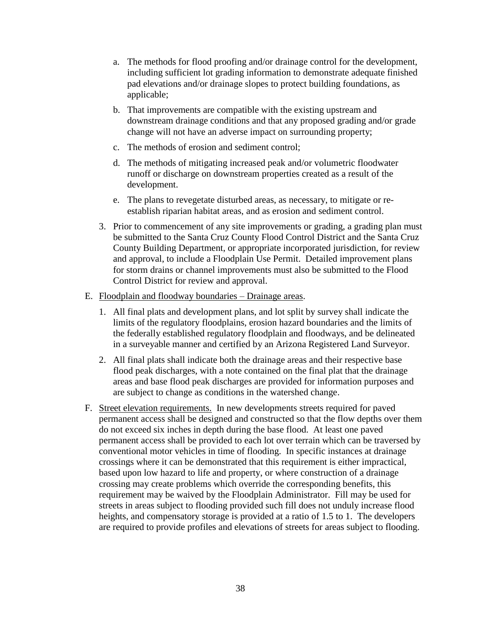- a. The methods for flood proofing and/or drainage control for the development, including sufficient lot grading information to demonstrate adequate finished pad elevations and/or drainage slopes to protect building foundations, as applicable;
- b. That improvements are compatible with the existing upstream and downstream drainage conditions and that any proposed grading and/or grade change will not have an adverse impact on surrounding property;
- c. The methods of erosion and sediment control;
- d. The methods of mitigating increased peak and/or volumetric floodwater runoff or discharge on downstream properties created as a result of the development.
- e. The plans to revegetate disturbed areas, as necessary, to mitigate or reestablish riparian habitat areas, and as erosion and sediment control.
- 3. Prior to commencement of any site improvements or grading, a grading plan must be submitted to the Santa Cruz County Flood Control District and the Santa Cruz County Building Department, or appropriate incorporated jurisdiction, for review and approval, to include a Floodplain Use Permit. Detailed improvement plans for storm drains or channel improvements must also be submitted to the Flood Control District for review and approval.
- E. Floodplain and floodway boundaries Drainage areas.
	- 1. All final plats and development plans, and lot split by survey shall indicate the limits of the regulatory floodplains, erosion hazard boundaries and the limits of the federally established regulatory floodplain and floodways, and be delineated in a surveyable manner and certified by an Arizona Registered Land Surveyor.
	- 2. All final plats shall indicate both the drainage areas and their respective base flood peak discharges, with a note contained on the final plat that the drainage areas and base flood peak discharges are provided for information purposes and are subject to change as conditions in the watershed change.
- F. Street elevation requirements. In new developments streets required for paved permanent access shall be designed and constructed so that the flow depths over them do not exceed six inches in depth during the base flood. At least one paved permanent access shall be provided to each lot over terrain which can be traversed by conventional motor vehicles in time of flooding. In specific instances at drainage crossings where it can be demonstrated that this requirement is either impractical, based upon low hazard to life and property, or where construction of a drainage crossing may create problems which override the corresponding benefits, this requirement may be waived by the Floodplain Administrator. Fill may be used for streets in areas subject to flooding provided such fill does not unduly increase flood heights, and compensatory storage is provided at a ratio of 1.5 to 1. The developers are required to provide profiles and elevations of streets for areas subject to flooding.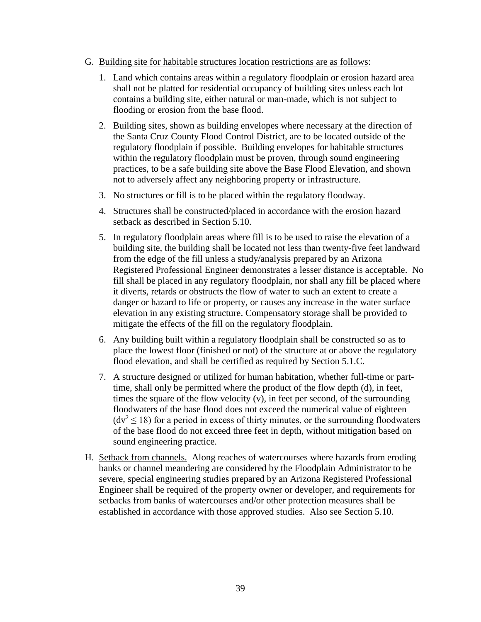- G. Building site for habitable structures location restrictions are as follows:
	- 1. Land which contains areas within a regulatory floodplain or erosion hazard area shall not be platted for residential occupancy of building sites unless each lot contains a building site, either natural or man-made, which is not subject to flooding or erosion from the base flood.
	- 2. Building sites, shown as building envelopes where necessary at the direction of the Santa Cruz County Flood Control District, are to be located outside of the regulatory floodplain if possible. Building envelopes for habitable structures within the regulatory floodplain must be proven, through sound engineering practices, to be a safe building site above the Base Flood Elevation, and shown not to adversely affect any neighboring property or infrastructure.
	- 3. No structures or fill is to be placed within the regulatory floodway.
	- 4. Structures shall be constructed/placed in accordance with the erosion hazard setback as described in Section 5.10.
	- 5. In regulatory floodplain areas where fill is to be used to raise the elevation of a building site, the building shall be located not less than twenty-five feet landward from the edge of the fill unless a study/analysis prepared by an Arizona Registered Professional Engineer demonstrates a lesser distance is acceptable. No fill shall be placed in any regulatory floodplain, nor shall any fill be placed where it diverts, retards or obstructs the flow of water to such an extent to create a danger or hazard to life or property, or causes any increase in the water surface elevation in any existing structure. Compensatory storage shall be provided to mitigate the effects of the fill on the regulatory floodplain.
	- 6. Any building built within a regulatory floodplain shall be constructed so as to place the lowest floor (finished or not) of the structure at or above the regulatory flood elevation, and shall be certified as required by Section 5.1.C.
	- 7. A structure designed or utilized for human habitation, whether full-time or parttime, shall only be permitted where the product of the flow depth (d), in feet, times the square of the flow velocity (v), in feet per second, of the surrounding floodwaters of the base flood does not exceed the numerical value of eighteen  $(dv^2 < 18)$  for a period in excess of thirty minutes, or the surrounding floodwaters of the base flood do not exceed three feet in depth, without mitigation based on sound engineering practice.
- H. Setback from channels. Along reaches of watercourses where hazards from eroding banks or channel meandering are considered by the Floodplain Administrator to be severe, special engineering studies prepared by an Arizona Registered Professional Engineer shall be required of the property owner or developer, and requirements for setbacks from banks of watercourses and/or other protection measures shall be established in accordance with those approved studies. Also see Section 5.10.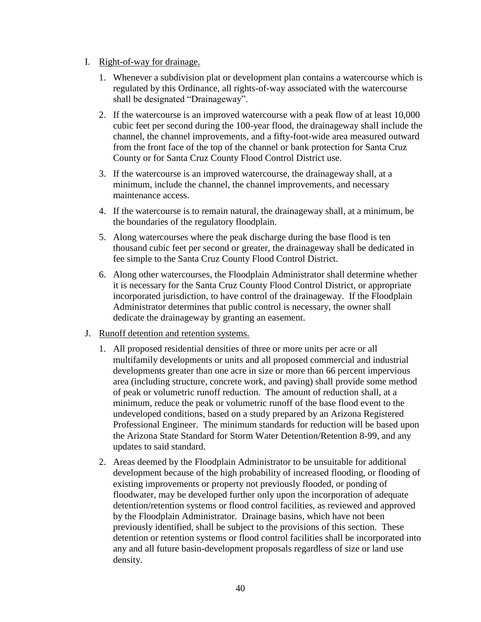#### I. Right-of-way for drainage.

- 1. Whenever a subdivision plat or development plan contains a watercourse which is regulated by this Ordinance, all rights-of-way associated with the watercourse shall be designated "Drainageway".
- 2. If the watercourse is an improved watercourse with a peak flow of at least 10,000 cubic feet per second during the 100-year flood, the drainageway shall include the channel, the channel improvements, and a fifty-foot-wide area measured outward from the front face of the top of the channel or bank protection for Santa Cruz County or for Santa Cruz County Flood Control District use.
- 3. If the watercourse is an improved watercourse, the drainageway shall, at a minimum, include the channel, the channel improvements, and necessary maintenance access.
- 4. If the watercourse is to remain natural, the drainageway shall, at a minimum, be the boundaries of the regulatory floodplain.
- 5. Along watercourses where the peak discharge during the base flood is ten thousand cubic feet per second or greater, the drainageway shall be dedicated in fee simple to the Santa Cruz County Flood Control District.
- 6. Along other watercourses, the Floodplain Administrator shall determine whether it is necessary for the Santa Cruz County Flood Control District, or appropriate incorporated jurisdiction, to have control of the drainageway. If the Floodplain Administrator determines that public control is necessary, the owner shall dedicate the drainageway by granting an easement.
- J. Runoff detention and retention systems.
	- 1. All proposed residential densities of three or more units per acre or all multifamily developments or units and all proposed commercial and industrial developments greater than one acre in size or more than 66 percent impervious area (including structure, concrete work, and paving) shall provide some method of peak or volumetric runoff reduction. The amount of reduction shall, at a minimum, reduce the peak or volumetric runoff of the base flood event to the undeveloped conditions, based on a study prepared by an Arizona Registered Professional Engineer. The minimum standards for reduction will be based upon the Arizona State Standard for Storm Water Detention/Retention 8-99, and any updates to said standard.
	- 2. Areas deemed by the Floodplain Administrator to be unsuitable for additional development because of the high probability of increased flooding, or flooding of existing improvements or property not previously flooded, or ponding of floodwater, may be developed further only upon the incorporation of adequate detention/retention systems or flood control facilities, as reviewed and approved by the Floodplain Administrator. Drainage basins, which have not been previously identified, shall be subject to the provisions of this section. These detention or retention systems or flood control facilities shall be incorporated into any and all future basin-development proposals regardless of size or land use density.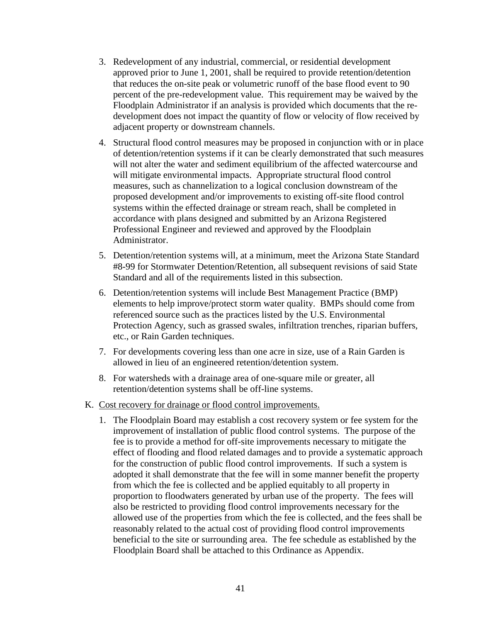- 3. Redevelopment of any industrial, commercial, or residential development approved prior to June 1, 2001, shall be required to provide retention/detention that reduces the on-site peak or volumetric runoff of the base flood event to 90 percent of the pre-redevelopment value. This requirement may be waived by the Floodplain Administrator if an analysis is provided which documents that the redevelopment does not impact the quantity of flow or velocity of flow received by adjacent property or downstream channels.
- 4. Structural flood control measures may be proposed in conjunction with or in place of detention/retention systems if it can be clearly demonstrated that such measures will not alter the water and sediment equilibrium of the affected watercourse and will mitigate environmental impacts. Appropriate structural flood control measures, such as channelization to a logical conclusion downstream of the proposed development and/or improvements to existing off-site flood control systems within the effected drainage or stream reach, shall be completed in accordance with plans designed and submitted by an Arizona Registered Professional Engineer and reviewed and approved by the Floodplain Administrator.
- 5. Detention/retention systems will, at a minimum, meet the Arizona State Standard #8-99 for Stormwater Detention/Retention, all subsequent revisions of said State Standard and all of the requirements listed in this subsection.
- 6. Detention/retention systems will include Best Management Practice (BMP) elements to help improve/protect storm water quality. BMPs should come from referenced source such as the practices listed by the U.S. Environmental Protection Agency, such as grassed swales, infiltration trenches, riparian buffers, etc., or Rain Garden techniques.
- 7. For developments covering less than one acre in size, use of a Rain Garden is allowed in lieu of an engineered retention/detention system.
- 8. For watersheds with a drainage area of one-square mile or greater, all retention/detention systems shall be off-line systems.
- K. Cost recovery for drainage or flood control improvements.
	- 1. The Floodplain Board may establish a cost recovery system or fee system for the improvement of installation of public flood control systems. The purpose of the fee is to provide a method for off-site improvements necessary to mitigate the effect of flooding and flood related damages and to provide a systematic approach for the construction of public flood control improvements. If such a system is adopted it shall demonstrate that the fee will in some manner benefit the property from which the fee is collected and be applied equitably to all property in proportion to floodwaters generated by urban use of the property. The fees will also be restricted to providing flood control improvements necessary for the allowed use of the properties from which the fee is collected, and the fees shall be reasonably related to the actual cost of providing flood control improvements beneficial to the site or surrounding area. The fee schedule as established by the Floodplain Board shall be attached to this Ordinance as Appendix.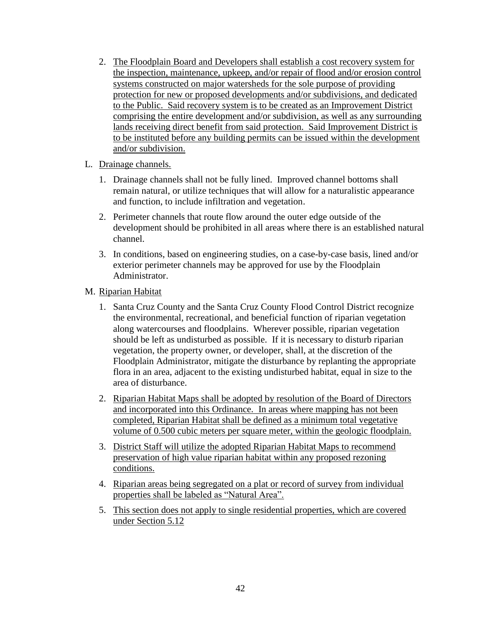- 2. The Floodplain Board and Developers shall establish a cost recovery system for the inspection, maintenance, upkeep, and/or repair of flood and/or erosion control systems constructed on major watersheds for the sole purpose of providing protection for new or proposed developments and/or subdivisions, and dedicated to the Public. Said recovery system is to be created as an Improvement District comprising the entire development and/or subdivision, as well as any surrounding lands receiving direct benefit from said protection. Said Improvement District is to be instituted before any building permits can be issued within the development and/or subdivision.
- L. Drainage channels.
	- 1. Drainage channels shall not be fully lined. Improved channel bottoms shall remain natural, or utilize techniques that will allow for a naturalistic appearance and function, to include infiltration and vegetation.
	- 2. Perimeter channels that route flow around the outer edge outside of the development should be prohibited in all areas where there is an established natural channel.
	- 3. In conditions, based on engineering studies, on a case-by-case basis, lined and/or exterior perimeter channels may be approved for use by the Floodplain Administrator.
- M. Riparian Habitat
	- 1. Santa Cruz County and the Santa Cruz County Flood Control District recognize the environmental, recreational, and beneficial function of riparian vegetation along watercourses and floodplains. Wherever possible, riparian vegetation should be left as undisturbed as possible. If it is necessary to disturb riparian vegetation, the property owner, or developer, shall, at the discretion of the Floodplain Administrator, mitigate the disturbance by replanting the appropriate flora in an area, adjacent to the existing undisturbed habitat, equal in size to the area of disturbance.
	- 2. Riparian Habitat Maps shall be adopted by resolution of the Board of Directors and incorporated into this Ordinance. In areas where mapping has not been completed, Riparian Habitat shall be defined as a minimum total vegetative volume of 0.500 cubic meters per square meter, within the geologic floodplain.
	- 3. District Staff will utilize the adopted Riparian Habitat Maps to recommend preservation of high value riparian habitat within any proposed rezoning conditions.
	- 4. Riparian areas being segregated on a plat or record of survey from individual properties shall be labeled as "Natural Area".
	- 5. This section does not apply to single residential properties, which are covered under Section 5.12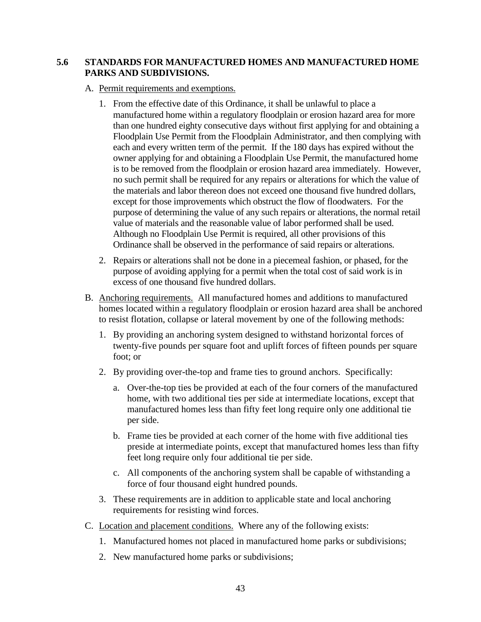### **5.6 STANDARDS FOR MANUFACTURED HOMES AND MANUFACTURED HOME PARKS AND SUBDIVISIONS.**

### A. Permit requirements and exemptions.

- 1. From the effective date of this Ordinance, it shall be unlawful to place a manufactured home within a regulatory floodplain or erosion hazard area for more than one hundred eighty consecutive days without first applying for and obtaining a Floodplain Use Permit from the Floodplain Administrator, and then complying with each and every written term of the permit. If the 180 days has expired without the owner applying for and obtaining a Floodplain Use Permit, the manufactured home is to be removed from the floodplain or erosion hazard area immediately. However, no such permit shall be required for any repairs or alterations for which the value of the materials and labor thereon does not exceed one thousand five hundred dollars, except for those improvements which obstruct the flow of floodwaters. For the purpose of determining the value of any such repairs or alterations, the normal retail value of materials and the reasonable value of labor performed shall be used. Although no Floodplain Use Permit is required, all other provisions of this Ordinance shall be observed in the performance of said repairs or alterations.
- 2. Repairs or alterations shall not be done in a piecemeal fashion, or phased, for the purpose of avoiding applying for a permit when the total cost of said work is in excess of one thousand five hundred dollars.
- B. Anchoring requirements. All manufactured homes and additions to manufactured homes located within a regulatory floodplain or erosion hazard area shall be anchored to resist flotation, collapse or lateral movement by one of the following methods:
	- 1. By providing an anchoring system designed to withstand horizontal forces of twenty-five pounds per square foot and uplift forces of fifteen pounds per square foot; or
	- 2. By providing over-the-top and frame ties to ground anchors. Specifically:
		- a. Over-the-top ties be provided at each of the four corners of the manufactured home, with two additional ties per side at intermediate locations, except that manufactured homes less than fifty feet long require only one additional tie per side.
		- b. Frame ties be provided at each corner of the home with five additional ties preside at intermediate points, except that manufactured homes less than fifty feet long require only four additional tie per side.
		- c. All components of the anchoring system shall be capable of withstanding a force of four thousand eight hundred pounds.
	- 3. These requirements are in addition to applicable state and local anchoring requirements for resisting wind forces.
- C. Location and placement conditions. Where any of the following exists:
	- 1. Manufactured homes not placed in manufactured home parks or subdivisions;
	- 2. New manufactured home parks or subdivisions;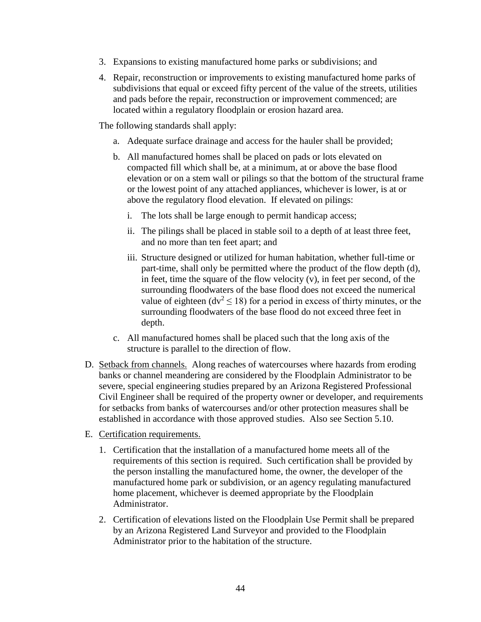- 3. Expansions to existing manufactured home parks or subdivisions; and
- 4. Repair, reconstruction or improvements to existing manufactured home parks of subdivisions that equal or exceed fifty percent of the value of the streets, utilities and pads before the repair, reconstruction or improvement commenced; are located within a regulatory floodplain or erosion hazard area.

The following standards shall apply:

- a. Adequate surface drainage and access for the hauler shall be provided;
- b. All manufactured homes shall be placed on pads or lots elevated on compacted fill which shall be, at a minimum, at or above the base flood elevation or on a stem wall or pilings so that the bottom of the structural frame or the lowest point of any attached appliances, whichever is lower, is at or above the regulatory flood elevation. If elevated on pilings:
	- i. The lots shall be large enough to permit handicap access;
	- ii. The pilings shall be placed in stable soil to a depth of at least three feet, and no more than ten feet apart; and
	- iii. Structure designed or utilized for human habitation, whether full-time or part-time, shall only be permitted where the product of the flow depth (d), in feet, time the square of the flow velocity (v), in feet per second, of the surrounding floodwaters of the base flood does not exceed the numerical value of eighteen ( $dv^2 \le 18$ ) for a period in excess of thirty minutes, or the surrounding floodwaters of the base flood do not exceed three feet in depth.
- c. All manufactured homes shall be placed such that the long axis of the structure is parallel to the direction of flow.
- D. Setback from channels. Along reaches of watercourses where hazards from eroding banks or channel meandering are considered by the Floodplain Administrator to be severe, special engineering studies prepared by an Arizona Registered Professional Civil Engineer shall be required of the property owner or developer, and requirements for setbacks from banks of watercourses and/or other protection measures shall be established in accordance with those approved studies. Also see Section 5.10.
- E. Certification requirements.
	- 1. Certification that the installation of a manufactured home meets all of the requirements of this section is required. Such certification shall be provided by the person installing the manufactured home, the owner, the developer of the manufactured home park or subdivision, or an agency regulating manufactured home placement, whichever is deemed appropriate by the Floodplain Administrator.
	- 2. Certification of elevations listed on the Floodplain Use Permit shall be prepared by an Arizona Registered Land Surveyor and provided to the Floodplain Administrator prior to the habitation of the structure.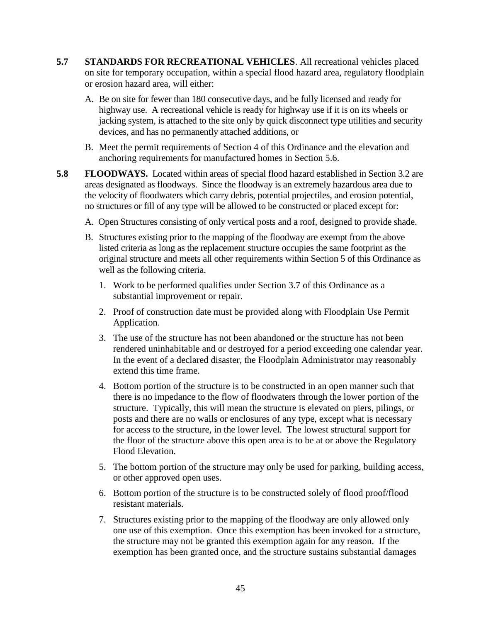- **5.7 STANDARDS FOR RECREATIONAL VEHICLES**. All recreational vehicles placed on site for temporary occupation, within a special flood hazard area, regulatory floodplain or erosion hazard area, will either:
	- A. Be on site for fewer than 180 consecutive days, and be fully licensed and ready for highway use. A recreational vehicle is ready for highway use if it is on its wheels or jacking system, is attached to the site only by quick disconnect type utilities and security devices, and has no permanently attached additions, or
	- B. Meet the permit requirements of Section 4 of this Ordinance and the elevation and anchoring requirements for manufactured homes in Section 5.6.
- **5.8 FLOODWAYS.** Located within areas of special flood hazard established in Section 3.2 are areas designated as floodways. Since the floodway is an extremely hazardous area due to the velocity of floodwaters which carry debris, potential projectiles, and erosion potential, no structures or fill of any type will be allowed to be constructed or placed except for:
	- A. Open Structures consisting of only vertical posts and a roof, designed to provide shade.
	- B. Structures existing prior to the mapping of the floodway are exempt from the above listed criteria as long as the replacement structure occupies the same footprint as the original structure and meets all other requirements within Section 5 of this Ordinance as well as the following criteria.
		- 1. Work to be performed qualifies under Section 3.7 of this Ordinance as a substantial improvement or repair.
		- 2. Proof of construction date must be provided along with Floodplain Use Permit Application.
		- 3. The use of the structure has not been abandoned or the structure has not been rendered uninhabitable and or destroyed for a period exceeding one calendar year. In the event of a declared disaster, the Floodplain Administrator may reasonably extend this time frame.
		- 4. Bottom portion of the structure is to be constructed in an open manner such that there is no impedance to the flow of floodwaters through the lower portion of the structure. Typically, this will mean the structure is elevated on piers, pilings, or posts and there are no walls or enclosures of any type, except what is necessary for access to the structure, in the lower level. The lowest structural support for the floor of the structure above this open area is to be at or above the Regulatory Flood Elevation.
		- 5. The bottom portion of the structure may only be used for parking, building access, or other approved open uses.
		- 6. Bottom portion of the structure is to be constructed solely of flood proof/flood resistant materials.
		- 7. Structures existing prior to the mapping of the floodway are only allowed only one use of this exemption. Once this exemption has been invoked for a structure, the structure may not be granted this exemption again for any reason. If the exemption has been granted once, and the structure sustains substantial damages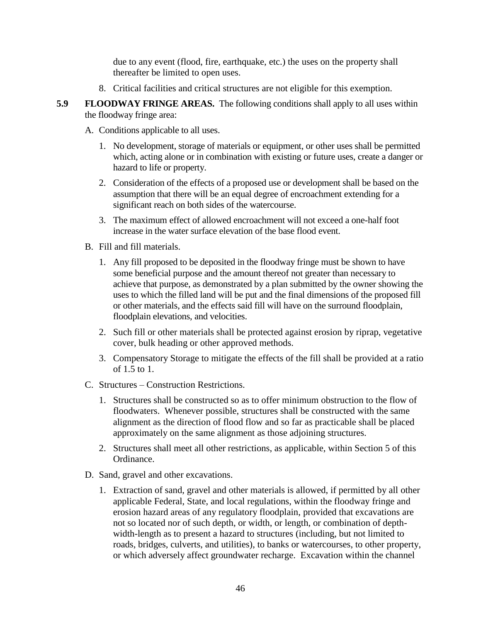due to any event (flood, fire, earthquake, etc.) the uses on the property shall thereafter be limited to open uses.

- 8. Critical facilities and critical structures are not eligible for this exemption.
- **5.9 FLOODWAY FRINGE AREAS.** The following conditions shall apply to all uses within the floodway fringe area:
	- A. Conditions applicable to all uses.
		- 1. No development, storage of materials or equipment, or other uses shall be permitted which, acting alone or in combination with existing or future uses, create a danger or hazard to life or property.
		- 2. Consideration of the effects of a proposed use or development shall be based on the assumption that there will be an equal degree of encroachment extending for a significant reach on both sides of the watercourse.
		- 3. The maximum effect of allowed encroachment will not exceed a one-half foot increase in the water surface elevation of the base flood event.
	- B. Fill and fill materials.
		- 1. Any fill proposed to be deposited in the floodway fringe must be shown to have some beneficial purpose and the amount thereof not greater than necessary to achieve that purpose, as demonstrated by a plan submitted by the owner showing the uses to which the filled land will be put and the final dimensions of the proposed fill or other materials, and the effects said fill will have on the surround floodplain, floodplain elevations, and velocities.
		- 2. Such fill or other materials shall be protected against erosion by riprap, vegetative cover, bulk heading or other approved methods.
		- 3. Compensatory Storage to mitigate the effects of the fill shall be provided at a ratio of 1.5 to 1.
	- C. Structures Construction Restrictions.
		- 1. Structures shall be constructed so as to offer minimum obstruction to the flow of floodwaters. Whenever possible, structures shall be constructed with the same alignment as the direction of flood flow and so far as practicable shall be placed approximately on the same alignment as those adjoining structures.
		- 2. Structures shall meet all other restrictions, as applicable, within Section 5 of this Ordinance.
	- D. Sand, gravel and other excavations.
		- 1. Extraction of sand, gravel and other materials is allowed, if permitted by all other applicable Federal, State, and local regulations, within the floodway fringe and erosion hazard areas of any regulatory floodplain, provided that excavations are not so located nor of such depth, or width, or length, or combination of depthwidth-length as to present a hazard to structures (including, but not limited to roads, bridges, culverts, and utilities), to banks or watercourses, to other property, or which adversely affect groundwater recharge. Excavation within the channel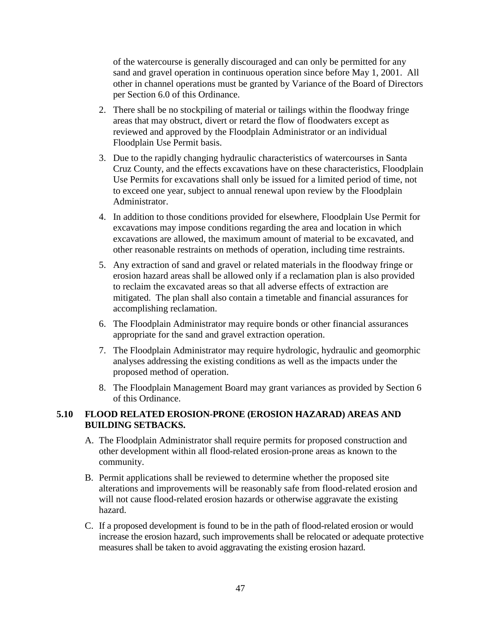of the watercourse is generally discouraged and can only be permitted for any sand and gravel operation in continuous operation since before May 1, 2001. All other in channel operations must be granted by Variance of the Board of Directors per Section 6.0 of this Ordinance.

- 2. There shall be no stockpiling of material or tailings within the floodway fringe areas that may obstruct, divert or retard the flow of floodwaters except as reviewed and approved by the Floodplain Administrator or an individual Floodplain Use Permit basis.
- 3. Due to the rapidly changing hydraulic characteristics of watercourses in Santa Cruz County, and the effects excavations have on these characteristics, Floodplain Use Permits for excavations shall only be issued for a limited period of time, not to exceed one year, subject to annual renewal upon review by the Floodplain Administrator.
- 4. In addition to those conditions provided for elsewhere, Floodplain Use Permit for excavations may impose conditions regarding the area and location in which excavations are allowed, the maximum amount of material to be excavated, and other reasonable restraints on methods of operation, including time restraints.
- 5. Any extraction of sand and gravel or related materials in the floodway fringe or erosion hazard areas shall be allowed only if a reclamation plan is also provided to reclaim the excavated areas so that all adverse effects of extraction are mitigated. The plan shall also contain a timetable and financial assurances for accomplishing reclamation.
- 6. The Floodplain Administrator may require bonds or other financial assurances appropriate for the sand and gravel extraction operation.
- 7. The Floodplain Administrator may require hydrologic, hydraulic and geomorphic analyses addressing the existing conditions as well as the impacts under the proposed method of operation.
- 8. The Floodplain Management Board may grant variances as provided by Section 6 of this Ordinance.

# **5.10 FLOOD RELATED EROSION-PRONE (EROSION HAZARAD) AREAS AND BUILDING SETBACKS.**

- A. The Floodplain Administrator shall require permits for proposed construction and other development within all flood-related erosion-prone areas as known to the community.
- B. Permit applications shall be reviewed to determine whether the proposed site alterations and improvements will be reasonably safe from flood-related erosion and will not cause flood-related erosion hazards or otherwise aggravate the existing hazard.
- C. If a proposed development is found to be in the path of flood-related erosion or would increase the erosion hazard, such improvements shall be relocated or adequate protective measures shall be taken to avoid aggravating the existing erosion hazard.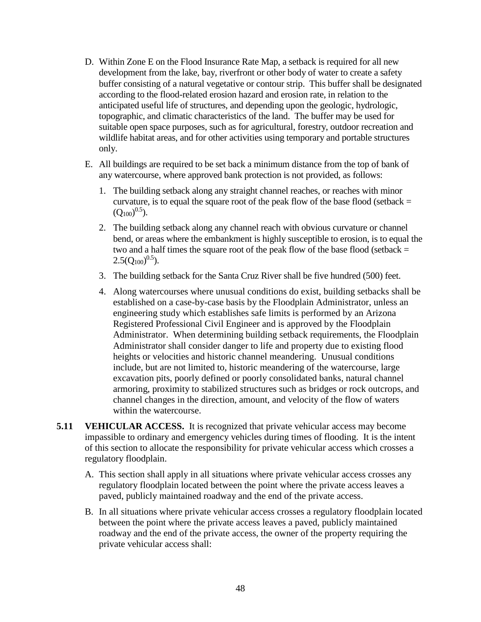- D. Within Zone E on the Flood Insurance Rate Map, a setback is required for all new development from the lake, bay, riverfront or other body of water to create a safety buffer consisting of a natural vegetative or contour strip. This buffer shall be designated according to the flood-related erosion hazard and erosion rate, in relation to the anticipated useful life of structures, and depending upon the geologic, hydrologic, topographic, and climatic characteristics of the land. The buffer may be used for suitable open space purposes, such as for agricultural, forestry, outdoor recreation and wildlife habitat areas, and for other activities using temporary and portable structures only.
- E. All buildings are required to be set back a minimum distance from the top of bank of any watercourse, where approved bank protection is not provided, as follows:
	- 1. The building setback along any straight channel reaches, or reaches with minor curvature, is to equal the square root of the peak flow of the base flood (setback  $=$  $(Q_{100})^{0.5}$ ).
	- 2. The building setback along any channel reach with obvious curvature or channel bend, or areas where the embankment is highly susceptible to erosion, is to equal the two and a half times the square root of the peak flow of the base flood (setback  $=$  $2.5(Q_{100})^{0.5}$ ).
	- 3. The building setback for the Santa Cruz River shall be five hundred (500) feet.
	- 4. Along watercourses where unusual conditions do exist, building setbacks shall be established on a case-by-case basis by the Floodplain Administrator, unless an engineering study which establishes safe limits is performed by an Arizona Registered Professional Civil Engineer and is approved by the Floodplain Administrator. When determining building setback requirements, the Floodplain Administrator shall consider danger to life and property due to existing flood heights or velocities and historic channel meandering. Unusual conditions include, but are not limited to, historic meandering of the watercourse, large excavation pits, poorly defined or poorly consolidated banks, natural channel armoring, proximity to stabilized structures such as bridges or rock outcrops, and channel changes in the direction, amount, and velocity of the flow of waters within the watercourse.
- **5.11 VEHICULAR ACCESS.** It is recognized that private vehicular access may become impassible to ordinary and emergency vehicles during times of flooding. It is the intent of this section to allocate the responsibility for private vehicular access which crosses a regulatory floodplain.
	- A. This section shall apply in all situations where private vehicular access crosses any regulatory floodplain located between the point where the private access leaves a paved, publicly maintained roadway and the end of the private access.
	- B. In all situations where private vehicular access crosses a regulatory floodplain located between the point where the private access leaves a paved, publicly maintained roadway and the end of the private access, the owner of the property requiring the private vehicular access shall: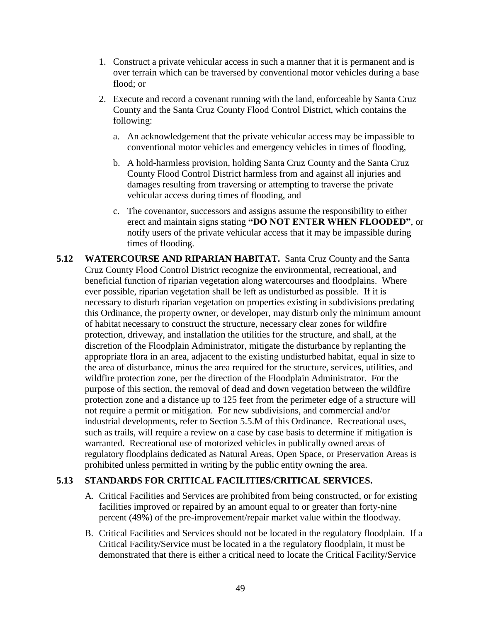- 1. Construct a private vehicular access in such a manner that it is permanent and is over terrain which can be traversed by conventional motor vehicles during a base flood; or
- 2. Execute and record a covenant running with the land, enforceable by Santa Cruz County and the Santa Cruz County Flood Control District, which contains the following:
	- a. An acknowledgement that the private vehicular access may be impassible to conventional motor vehicles and emergency vehicles in times of flooding,
	- b. A hold-harmless provision, holding Santa Cruz County and the Santa Cruz County Flood Control District harmless from and against all injuries and damages resulting from traversing or attempting to traverse the private vehicular access during times of flooding, and
	- c. The covenantor, successors and assigns assume the responsibility to either erect and maintain signs stating **"DO NOT ENTER WHEN FLOODED"**, or notify users of the private vehicular access that it may be impassible during times of flooding.
- **5.12 WATERCOURSE AND RIPARIAN HABITAT.** Santa Cruz County and the Santa Cruz County Flood Control District recognize the environmental, recreational, and beneficial function of riparian vegetation along watercourses and floodplains. Where ever possible, riparian vegetation shall be left as undisturbed as possible. If it is necessary to disturb riparian vegetation on properties existing in subdivisions predating this Ordinance, the property owner, or developer, may disturb only the minimum amount of habitat necessary to construct the structure, necessary clear zones for wildfire protection, driveway, and installation the utilities for the structure, and shall, at the discretion of the Floodplain Administrator, mitigate the disturbance by replanting the appropriate flora in an area, adjacent to the existing undisturbed habitat, equal in size to the area of disturbance, minus the area required for the structure, services, utilities, and wildfire protection zone, per the direction of the Floodplain Administrator. For the purpose of this section, the removal of dead and down vegetation between the wildfire protection zone and a distance up to 125 feet from the perimeter edge of a structure will not require a permit or mitigation. For new subdivisions, and commercial and/or industrial developments, refer to Section 5.5.M of this Ordinance. Recreational uses, such as trails, will require a review on a case by case basis to determine if mitigation is warranted. Recreational use of motorized vehicles in publically owned areas of regulatory floodplains dedicated as Natural Areas, Open Space, or Preservation Areas is prohibited unless permitted in writing by the public entity owning the area.

# **5.13 STANDARDS FOR CRITICAL FACILITIES/CRITICAL SERVICES.**

- A. Critical Facilities and Services are prohibited from being constructed, or for existing facilities improved or repaired by an amount equal to or greater than forty-nine percent (49%) of the pre-improvement/repair market value within the floodway.
- B. Critical Facilities and Services should not be located in the regulatory floodplain. If a Critical Facility/Service must be located in a the regulatory floodplain, it must be demonstrated that there is either a critical need to locate the Critical Facility/Service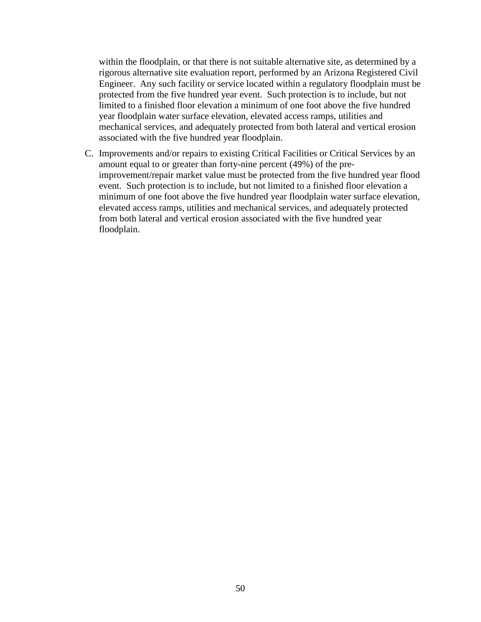within the floodplain, or that there is not suitable alternative site, as determined by a rigorous alternative site evaluation report, performed by an Arizona Registered Civil Engineer. Any such facility or service located within a regulatory floodplain must be protected from the five hundred year event. Such protection is to include, but not limited to a finished floor elevation a minimum of one foot above the five hundred year floodplain water surface elevation, elevated access ramps, utilities and mechanical services, and adequately protected from both lateral and vertical erosion associated with the five hundred year floodplain.

C. Improvements and/or repairs to existing Critical Facilities or Critical Services by an amount equal to or greater than forty-nine percent (49%) of the preimprovement/repair market value must be protected from the five hundred year flood event. Such protection is to include, but not limited to a finished floor elevation a minimum of one foot above the five hundred year floodplain water surface elevation, elevated access ramps, utilities and mechanical services, and adequately protected from both lateral and vertical erosion associated with the five hundred year floodplain.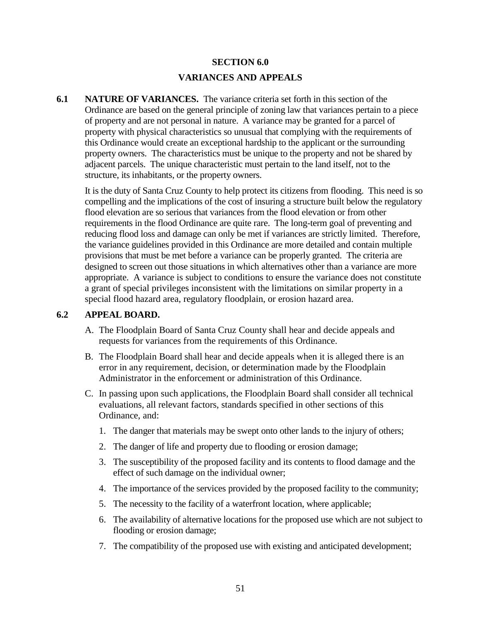# **SECTION 6.0 VARIANCES AND APPEALS**

**6.1 NATURE OF VARIANCES.** The variance criteria set forth in this section of the Ordinance are based on the general principle of zoning law that variances pertain to a piece of property and are not personal in nature. A variance may be granted for a parcel of property with physical characteristics so unusual that complying with the requirements of this Ordinance would create an exceptional hardship to the applicant or the surrounding property owners. The characteristics must be unique to the property and not be shared by adjacent parcels. The unique characteristic must pertain to the land itself, not to the structure, its inhabitants, or the property owners.

It is the duty of Santa Cruz County to help protect its citizens from flooding. This need is so compelling and the implications of the cost of insuring a structure built below the regulatory flood elevation are so serious that variances from the flood elevation or from other requirements in the flood Ordinance are quite rare. The long-term goal of preventing and reducing flood loss and damage can only be met if variances are strictly limited. Therefore, the variance guidelines provided in this Ordinance are more detailed and contain multiple provisions that must be met before a variance can be properly granted. The criteria are designed to screen out those situations in which alternatives other than a variance are more appropriate. A variance is subject to conditions to ensure the variance does not constitute a grant of special privileges inconsistent with the limitations on similar property in a special flood hazard area, regulatory floodplain, or erosion hazard area.

#### **6.2 APPEAL BOARD.**

- A. The Floodplain Board of Santa Cruz County shall hear and decide appeals and requests for variances from the requirements of this Ordinance.
- B. The Floodplain Board shall hear and decide appeals when it is alleged there is an error in any requirement, decision, or determination made by the Floodplain Administrator in the enforcement or administration of this Ordinance.
- C. In passing upon such applications, the Floodplain Board shall consider all technical evaluations, all relevant factors, standards specified in other sections of this Ordinance, and:
	- 1. The danger that materials may be swept onto other lands to the injury of others;
	- 2. The danger of life and property due to flooding or erosion damage;
	- 3. The susceptibility of the proposed facility and its contents to flood damage and the effect of such damage on the individual owner;
	- 4. The importance of the services provided by the proposed facility to the community;
	- 5. The necessity to the facility of a waterfront location, where applicable;
	- 6. The availability of alternative locations for the proposed use which are not subject to flooding or erosion damage;
	- 7. The compatibility of the proposed use with existing and anticipated development;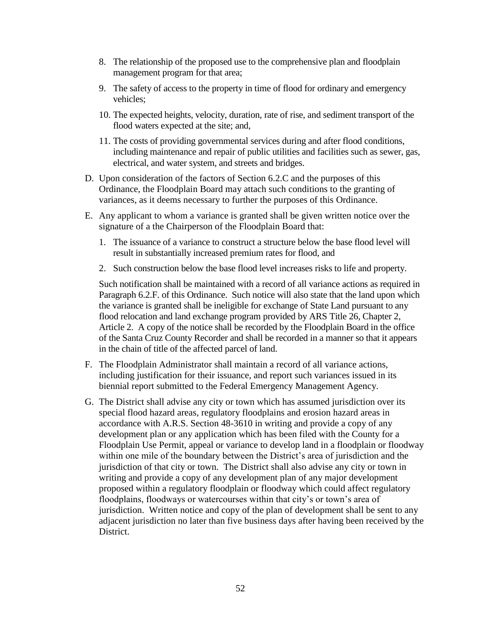- 8. The relationship of the proposed use to the comprehensive plan and floodplain management program for that area;
- 9. The safety of access to the property in time of flood for ordinary and emergency vehicles;
- 10. The expected heights, velocity, duration, rate of rise, and sediment transport of the flood waters expected at the site; and,
- 11. The costs of providing governmental services during and after flood conditions, including maintenance and repair of public utilities and facilities such as sewer, gas, electrical, and water system, and streets and bridges.
- D. Upon consideration of the factors of Section 6.2.C and the purposes of this Ordinance, the Floodplain Board may attach such conditions to the granting of variances, as it deems necessary to further the purposes of this Ordinance.
- E. Any applicant to whom a variance is granted shall be given written notice over the signature of a the Chairperson of the Floodplain Board that:
	- 1. The issuance of a variance to construct a structure below the base flood level will result in substantially increased premium rates for flood, and
	- 2. Such construction below the base flood level increases risks to life and property.

Such notification shall be maintained with a record of all variance actions as required in Paragraph 6.2.F. of this Ordinance. Such notice will also state that the land upon which the variance is granted shall be ineligible for exchange of State Land pursuant to any flood relocation and land exchange program provided by ARS Title 26, Chapter 2, Article 2. A copy of the notice shall be recorded by the Floodplain Board in the office of the Santa Cruz County Recorder and shall be recorded in a manner so that it appears in the chain of title of the affected parcel of land.

- F. The Floodplain Administrator shall maintain a record of all variance actions, including justification for their issuance, and report such variances issued in its biennial report submitted to the Federal Emergency Management Agency.
- G. The District shall advise any city or town which has assumed jurisdiction over its special flood hazard areas, regulatory floodplains and erosion hazard areas in accordance with A.R.S. Section 48-3610 in writing and provide a copy of any development plan or any application which has been filed with the County for a Floodplain Use Permit, appeal or variance to develop land in a floodplain or floodway within one mile of the boundary between the District's area of jurisdiction and the jurisdiction of that city or town. The District shall also advise any city or town in writing and provide a copy of any development plan of any major development proposed within a regulatory floodplain or floodway which could affect regulatory floodplains, floodways or watercourses within that city's or town's area of jurisdiction. Written notice and copy of the plan of development shall be sent to any adjacent jurisdiction no later than five business days after having been received by the District.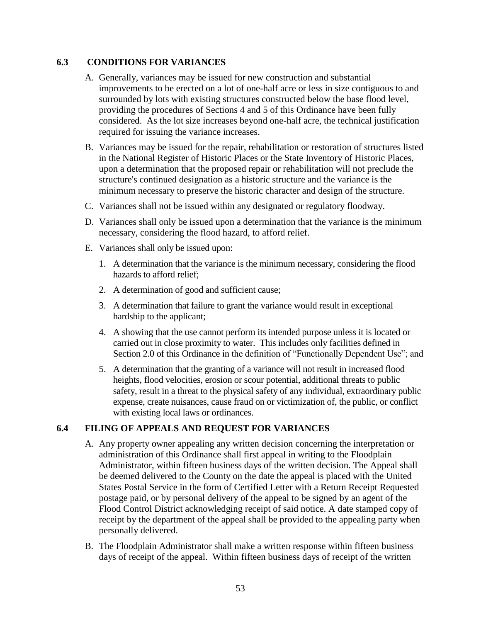# **6.3 CONDITIONS FOR VARIANCES**

- A. Generally, variances may be issued for new construction and substantial improvements to be erected on a lot of one-half acre or less in size contiguous to and surrounded by lots with existing structures constructed below the base flood level, providing the procedures of Sections 4 and 5 of this Ordinance have been fully considered. As the lot size increases beyond one-half acre, the technical justification required for issuing the variance increases.
- B. Variances may be issued for the repair, rehabilitation or restoration of structures listed in the National Register of Historic Places or the State Inventory of Historic Places, upon a determination that the proposed repair or rehabilitation will not preclude the structure's continued designation as a historic structure and the variance is the minimum necessary to preserve the historic character and design of the structure.
- C. Variances shall not be issued within any designated or regulatory floodway.
- D. Variances shall only be issued upon a determination that the variance is the minimum necessary, considering the flood hazard, to afford relief.
- E. Variances shall only be issued upon:
	- 1. A determination that the variance is the minimum necessary, considering the flood hazards to afford relief;
	- 2. A determination of good and sufficient cause;
	- 3. A determination that failure to grant the variance would result in exceptional hardship to the applicant;
	- 4. A showing that the use cannot perform its intended purpose unless it is located or carried out in close proximity to water. This includes only facilities defined in Section 2.0 of this Ordinance in the definition of "Functionally Dependent Use"; and
	- 5. A determination that the granting of a variance will not result in increased flood heights, flood velocities, erosion or scour potential, additional threats to public safety, result in a threat to the physical safety of any individual, extraordinary public expense, create nuisances, cause fraud on or victimization of, the public, or conflict with existing local laws or ordinances.

# **6.4 FILING OF APPEALS AND REQUEST FOR VARIANCES**

- A. Any property owner appealing any written decision concerning the interpretation or administration of this Ordinance shall first appeal in writing to the Floodplain Administrator, within fifteen business days of the written decision. The Appeal shall be deemed delivered to the County on the date the appeal is placed with the United States Postal Service in the form of Certified Letter with a Return Receipt Requested postage paid, or by personal delivery of the appeal to be signed by an agent of the Flood Control District acknowledging receipt of said notice. A date stamped copy of receipt by the department of the appeal shall be provided to the appealing party when personally delivered.
- B. The Floodplain Administrator shall make a written response within fifteen business days of receipt of the appeal. Within fifteen business days of receipt of the written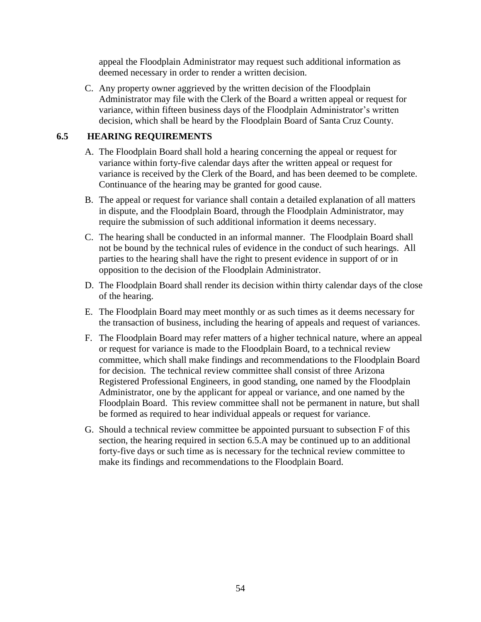appeal the Floodplain Administrator may request such additional information as deemed necessary in order to render a written decision.

C. Any property owner aggrieved by the written decision of the Floodplain Administrator may file with the Clerk of the Board a written appeal or request for variance, within fifteen business days of the Floodplain Administrator's written decision, which shall be heard by the Floodplain Board of Santa Cruz County.

# **6.5 HEARING REQUIREMENTS**

- A. The Floodplain Board shall hold a hearing concerning the appeal or request for variance within forty-five calendar days after the written appeal or request for variance is received by the Clerk of the Board, and has been deemed to be complete. Continuance of the hearing may be granted for good cause.
- B. The appeal or request for variance shall contain a detailed explanation of all matters in dispute, and the Floodplain Board, through the Floodplain Administrator, may require the submission of such additional information it deems necessary.
- C. The hearing shall be conducted in an informal manner. The Floodplain Board shall not be bound by the technical rules of evidence in the conduct of such hearings. All parties to the hearing shall have the right to present evidence in support of or in opposition to the decision of the Floodplain Administrator.
- D. The Floodplain Board shall render its decision within thirty calendar days of the close of the hearing.
- E. The Floodplain Board may meet monthly or as such times as it deems necessary for the transaction of business, including the hearing of appeals and request of variances.
- F. The Floodplain Board may refer matters of a higher technical nature, where an appeal or request for variance is made to the Floodplain Board, to a technical review committee, which shall make findings and recommendations to the Floodplain Board for decision. The technical review committee shall consist of three Arizona Registered Professional Engineers, in good standing, one named by the Floodplain Administrator, one by the applicant for appeal or variance, and one named by the Floodplain Board. This review committee shall not be permanent in nature, but shall be formed as required to hear individual appeals or request for variance.
- G. Should a technical review committee be appointed pursuant to subsection F of this section, the hearing required in section 6.5.A may be continued up to an additional forty-five days or such time as is necessary for the technical review committee to make its findings and recommendations to the Floodplain Board.